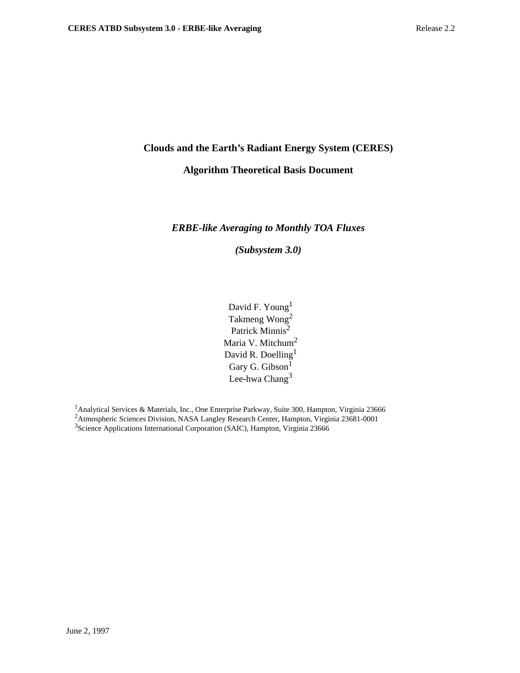# **Clouds and the Earth's Radiant Energy System (CERES)**

# **Algorithm Theoretical Basis Document**

# *ERBE-like Averaging to Monthly TOA Fluxes*

*(Subsystem 3.0)*

David F. Young<sup>1</sup> Takmeng Wong<sup>2</sup> Patrick Minnis<sup>2</sup> Maria V. Mitchum<sup>2</sup> David R. Doelling<sup>1</sup> Gary G. Gibson<sup>1</sup> Lee-hwa Chang $3$ 

<sup>1</sup> Analytical Services & Materials, Inc., One Enterprise Parkway, Suite 300, Hampton, Virginia 23666 2Atmospheric Sciences Division, NASA Langley Research Center, Hampton, Virginia 23681-0001 <sup>3</sup>Science Applications International Corporation (SAIC), Hampton, Virginia 23666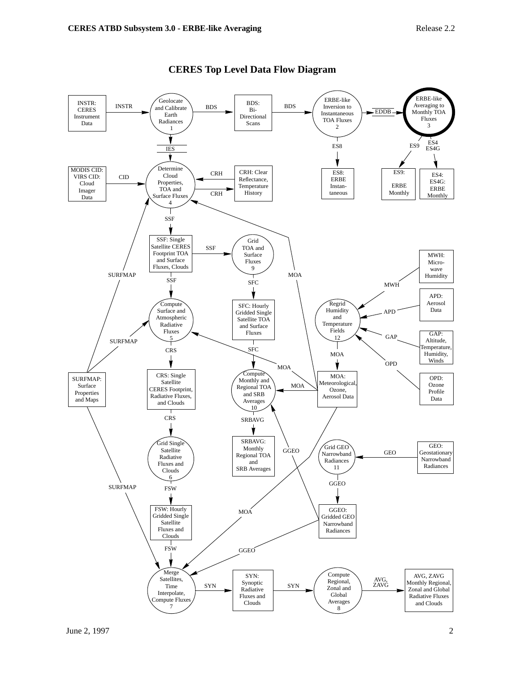

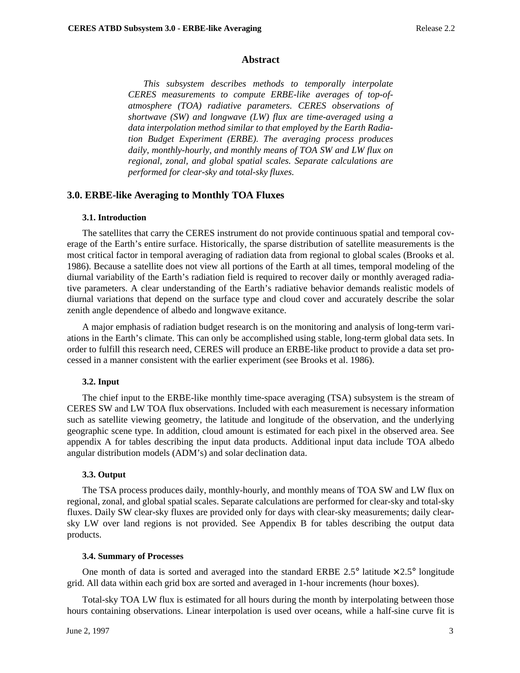### **Abstract**

*This subsystem describes methods to temporally interpolate CERES measurements to compute ERBE-like averages of top-ofatmosphere (TOA) radiative parameters. CERES observations of shortwave (SW) and longwave (LW) flux are time-averaged using a data interpolation method similar to that employed by the Earth Radiation Budget Experiment (ERBE). The averaging process produces daily, monthly-hourly, and monthly means of TOA SW and LW flux on regional, zonal, and global spatial scales. Separate calculations are performed for clear-sky and total-sky fluxes.*

### **3.0. ERBE-like Averaging to Monthly TOA Fluxes**

#### **3.1. Introduction**

The satellites that carry the CERES instrument do not provide continuous spatial and temporal coverage of the Earth's entire surface. Historically, the sparse distribution of satellite measurements is the most critical factor in temporal averaging of radiation data from regional to global scales (Brooks et al. 1986). Because a satellite does not view all portions of the Earth at all times, temporal modeling of the diurnal variability of the Earth's radiation field is required to recover daily or monthly averaged radiative parameters. A clear understanding of the Earth's radiative behavior demands realistic models of diurnal variations that depend on the surface type and cloud cover and accurately describe the solar zenith angle dependence of albedo and longwave exitance.

A major emphasis of radiation budget research is on the monitoring and analysis of long-term variations in the Earth's climate. This can only be accomplished using stable, long-term global data sets. In order to fulfill this research need, CERES will produce an ERBE-like product to provide a data set processed in a manner consistent with the earlier experiment (see Brooks et al. 1986).

#### **3.2. Input**

The chief input to the ERBE-like monthly time-space averaging (TSA) subsystem is the stream of CERES SW and LW TOA flux observations. Included with each measurement is necessary information such as satellite viewing geometry, the latitude and longitude of the observation, and the underlying geographic scene type. In addition, cloud amount is estimated for each pixel in the observed area. See appendix A for tables describing the input data products. Additional input data include TOA albedo angular distribution models (ADM's) and solar declination data.

### **3.3. Output**

The TSA process produces daily, monthly-hourly, and monthly means of TOA SW and LW flux on regional, zonal, and global spatial scales. Separate calculations are performed for clear-sky and total-sky fluxes. Daily SW clear-sky fluxes are provided only for days with clear-sky measurements; daily clearsky LW over land regions is not provided. See Appendix B for tables describing the output data products.

#### **3.4. Summary of Processes**

One month of data is sorted and averaged into the standard ERBE 2.5 $\degree$  latitude  $\times$  2.5 $\degree$  longitude grid. All data within each grid box are sorted and averaged in 1-hour increments (hour boxes).

Total-sky TOA LW flux is estimated for all hours during the month by interpolating between those hours containing observations. Linear interpolation is used over oceans, while a half-sine curve fit is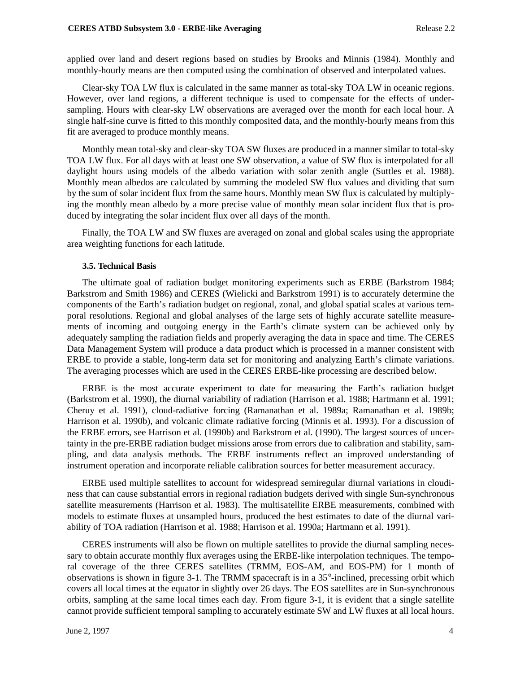applied over land and desert regions based on studies by Brooks and Minnis (1984). Monthly and monthly-hourly means are then computed using the combination of observed and interpolated values.

Clear-sky TOA LW flux is calculated in the same manner as total-sky TOA LW in oceanic regions. However, over land regions, a different technique is used to compensate for the effects of undersampling. Hours with clear-sky LW observations are averaged over the month for each local hour. A single half-sine curve is fitted to this monthly composited data, and the monthly-hourly means from this fit are averaged to produce monthly means.

Monthly mean total-sky and clear-sky TOA SW fluxes are produced in a manner similar to total-sky TOA LW flux. For all days with at least one SW observation, a value of SW flux is interpolated for all daylight hours using models of the albedo variation with solar zenith angle (Suttles et al. 1988). Monthly mean albedos are calculated by summing the modeled SW flux values and dividing that sum by the sum of solar incident flux from the same hours. Monthly mean SW flux is calculated by multiplying the monthly mean albedo by a more precise value of monthly mean solar incident flux that is produced by integrating the solar incident flux over all days of the month.

Finally, the TOA LW and SW fluxes are averaged on zonal and global scales using the appropriate area weighting functions for each latitude.

### **3.5. Technical Basis**

The ultimate goal of radiation budget monitoring experiments such as ERBE (Barkstrom 1984; Barkstrom and Smith 1986) and CERES (Wielicki and Barkstrom 1991) is to accurately determine the components of the Earth's radiation budget on regional, zonal, and global spatial scales at various temporal resolutions. Regional and global analyses of the large sets of highly accurate satellite measurements of incoming and outgoing energy in the Earth's climate system can be achieved only by adequately sampling the radiation fields and properly averaging the data in space and time. The CERES Data Management System will produce a data product which is processed in a manner consistent with ERBE to provide a stable, long-term data set for monitoring and analyzing Earth's climate variations. The averaging processes which are used in the CERES ERBE-like processing are described below.

ERBE is the most accurate experiment to date for measuring the Earth's radiation budget (Barkstrom et al. 1990), the diurnal variability of radiation (Harrison et al. 1988; Hartmann et al. 1991; Cheruy et al. 1991), cloud-radiative forcing (Ramanathan et al. 1989a; Ramanathan et al. 1989b; Harrison et al. 1990b), and volcanic climate radiative forcing (Minnis et al. 1993). For a discussion of the ERBE errors, see Harrison et al. (1990b) and Barkstrom et al. (1990). The largest sources of uncertainty in the pre-ERBE radiation budget missions arose from errors due to calibration and stability, sampling, and data analysis methods. The ERBE instruments reflect an improved understanding of instrument operation and incorporate reliable calibration sources for better measurement accuracy.

ERBE used multiple satellites to account for widespread semiregular diurnal variations in cloudiness that can cause substantial errors in regional radiation budgets derived with single Sun-synchronous satellite measurements (Harrison et al. 1983). The multisatellite ERBE measurements, combined with models to estimate fluxes at unsampled hours, produced the best estimates to date of the diurnal variability of TOA radiation (Harrison et al. 1988; Harrison et al. 1990a; Hartmann et al. 1991).

CERES instruments will also be flown on multiple satellites to provide the diurnal sampling necessary to obtain accurate monthly flux averages using the ERBE-like interpolation techniques. The temporal coverage of the three CERES satellites (TRMM, EOS-AM, and EOS-PM) for 1 month of observations is shown in figure 3-1. The TRMM spacecraft is in a 35°-inclined, precessing orbit which covers all local times at the equator in slightly over 26 days. The EOS satellites are in Sun-synchronous orbits, sampling at the same local times each day. From figure 3-1, it is evident that a single satellite cannot provide sufficient temporal sampling to accurately estimate SW and LW fluxes at all local hours.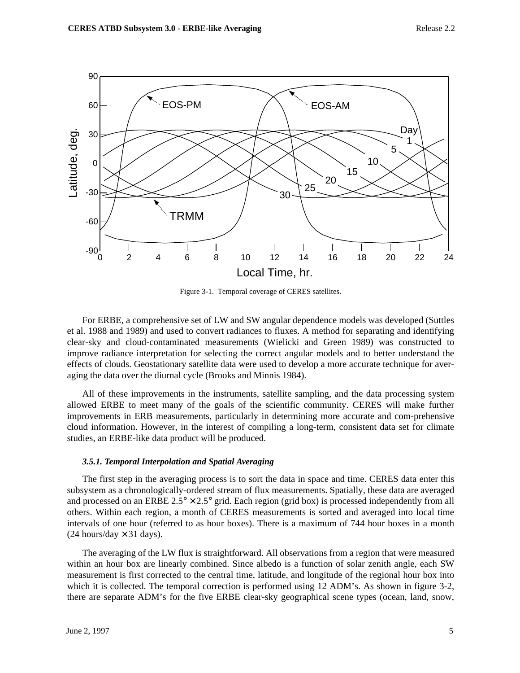

Figure 3-1. Temporal coverage of CERES satellites.

For ERBE, a comprehensive set of LW and SW angular dependence models was developed (Suttles et al. 1988 and 1989) and used to convert radiances to fluxes. A method for separating and identifying clear-sky and cloud-contaminated measurements (Wielicki and Green 1989) was constructed to improve radiance interpretation for selecting the correct angular models and to better understand the effects of clouds. Geostationary satellite data were used to develop a more accurate technique for averaging the data over the diurnal cycle (Brooks and Minnis 1984).

All of these improvements in the instruments, satellite sampling, and the data processing system allowed ERBE to meet many of the goals of the scientific community. CERES will make further improvements in ERB measurements, particularly in determining more accurate and com-prehensive cloud information. However, in the interest of compiling a long-term, consistent data set for climate studies, an ERBE-like data product will be produced.

#### *3.5.1. Temporal Interpolation and Spatial Averaging*

The first step in the averaging process is to sort the data in space and time. CERES data enter this subsystem as a chronologically-ordered stream of flux measurements. Spatially, these data are averaged and processed on an ERBE  $2.5^{\circ} \times 2.5^{\circ}$  grid. Each region (grid box) is processed independently from all others. Within each region, a month of CERES measurements is sorted and averaged into local time intervals of one hour (referred to as hour boxes). There is a maximum of 744 hour boxes in a month  $(24$  hours/day  $\times$  31 days).

The averaging of the LW flux is straightforward. All observations from a region that were measured within an hour box are linearly combined. Since albedo is a function of solar zenith angle, each SW measurement is first corrected to the central time, latitude, and longitude of the regional hour box into which it is collected. The temporal correction is performed using 12 ADM's. As shown in figure 3-2, there are separate ADM's for the five ERBE clear-sky geographical scene types (ocean, land, snow,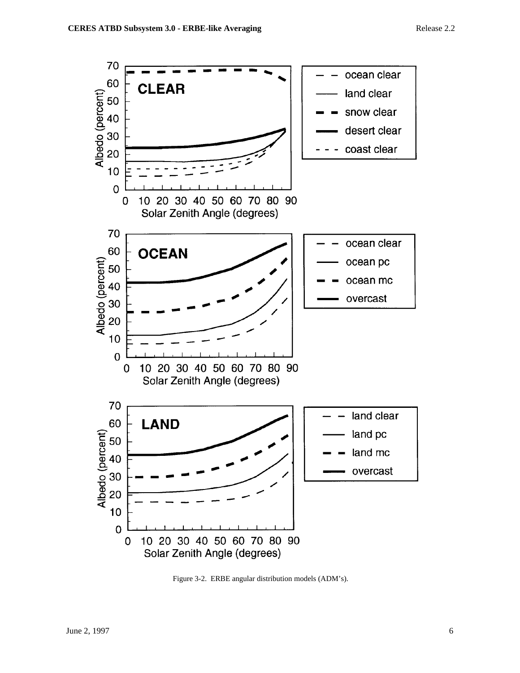

Figure 3-2. ERBE angular distribution models (ADM's).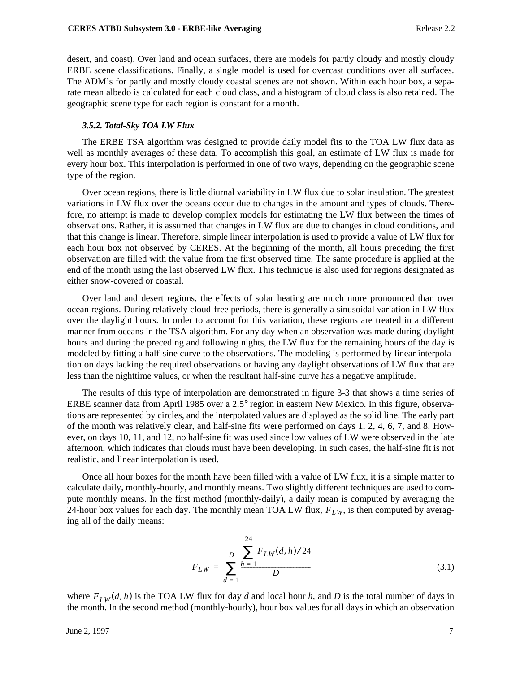desert, and coast). Over land and ocean surfaces, there are models for partly cloudy and mostly cloudy ERBE scene classifications. Finally, a single model is used for overcast conditions over all surfaces. The ADM's for partly and mostly cloudy coastal scenes are not shown. Within each hour box, a separate mean albedo is calculated for each cloud class, and a histogram of cloud class is also retained. The geographic scene type for each region is constant for a month.

### *3.5.2. Total-Sky TOA LW Flux*

The ERBE TSA algorithm was designed to provide daily model fits to the TOA LW flux data as well as monthly averages of these data. To accomplish this goal, an estimate of LW flux is made for every hour box. This interpolation is performed in one of two ways, depending on the geographic scene type of the region.

Over ocean regions, there is little diurnal variability in LW flux due to solar insulation. The greatest variations in LW flux over the oceans occur due to changes in the amount and types of clouds. Therefore, no attempt is made to develop complex models for estimating the LW flux between the times of observations. Rather, it is assumed that changes in LW flux are due to changes in cloud conditions, and that this change is linear. Therefore, simple linear interpolation is used to provide a value of LW flux for each hour box not observed by CERES. At the beginning of the month, all hours preceding the first observation are filled with the value from the first observed time. The same procedure is applied at the end of the month using the last observed LW flux. This technique is also used for regions designated as either snow-covered or coastal.

Over land and desert regions, the effects of solar heating are much more pronounced than over ocean regions. During relatively cloud-free periods, there is generally a sinusoidal variation in LW flux over the daylight hours. In order to account for this variation, these regions are treated in a different manner from oceans in the TSA algorithm. For any day when an observation was made during daylight hours and during the preceding and following nights, the LW flux for the remaining hours of the day is modeled by fitting a half-sine curve to the observations. The modeling is performed by linear interpolation on days lacking the required observations or having any daylight observations of LW flux that are less than the nighttime values, or when the resultant half-sine curve has a negative amplitude.

The results of this type of interpolation are demonstrated in figure 3-3 that shows a time series of ERBE scanner data from April 1985 over a 2.5° region in eastern New Mexico. In this figure, observations are represented by circles, and the interpolated values are displayed as the solid line. The early part of the month was relatively clear, and half-sine fits were performed on days 1, 2, 4, 6, 7, and 8. However, on days 10, 11, and 12, no half-sine fit was used since low values of LW were observed in the late afternoon, which indicates that clouds must have been developing. In such cases, the half-sine fit is not realistic, and linear interpolation is used.

Once all hour boxes for the month have been filled with a value of LW flux, it is a simple matter to calculate daily, monthly-hourly, and monthly means. Two slightly different techniques are used to compute monthly means. In the first method (monthly-daily), a daily mean is computed by averaging the 24-hour box values for each day. The monthly mean TOA LW flux,  $F_{LW}$ , is then computed by averaging all of the daily means:

$$
\overline{F}_{LW} = \sum_{d=1}^{D} \frac{\sum_{h=1}^{24} F_{LW}(d, h)/24}{D}
$$
(3.1)

where  $F_{LW}(d, h)$  is the TOA LW flux for day *d* and local hour *h*, and *D* is the total number of days in the month. In the second method (monthly-hourly), hour box values for all days in which an observation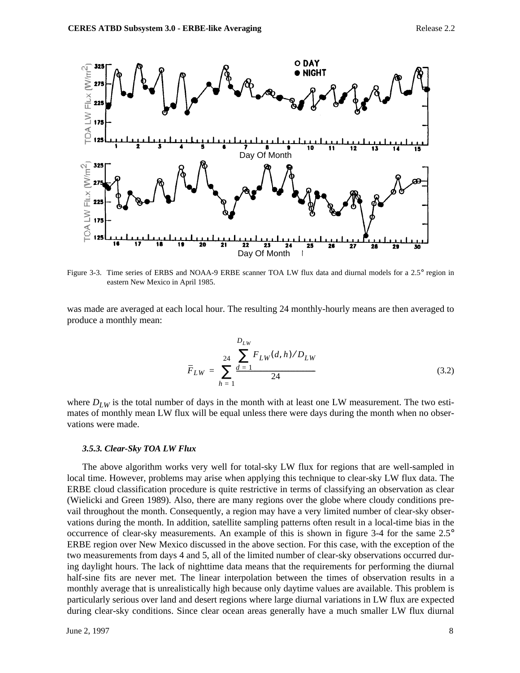

Figure 3-3. Time series of ERBS and NOAA-9 ERBE scanner TOA LW flux data and diurnal models for a 2.5° region in eastern New Mexico in April 1985.

was made are averaged at each local hour. The resulting 24 monthly-hourly means are then averaged to produce a monthly mean:

$$
\overline{F}_{LW} = \sum_{h=1}^{24} \frac{\sum_{d=1}^{D_{LW}} F_{LW}(d, h) / D_{LW}}{24}
$$
(3.2)

where  $D_{LW}$  is the total number of days in the month with at least one LW measurement. The two estimates of monthly mean LW flux will be equal unless there were days during the month when no observations were made.

#### *3.5.3. Clear-Sky TOA LW Flux*

The above algorithm works very well for total-sky LW flux for regions that are well-sampled in local time. However, problems may arise when applying this technique to clear-sky LW flux data. The ERBE cloud classification procedure is quite restrictive in terms of classifying an observation as clear (Wielicki and Green 1989). Also, there are many regions over the globe where cloudy conditions prevail throughout the month. Consequently, a region may have a very limited number of clear-sky observations during the month. In addition, satellite sampling patterns often result in a local-time bias in the occurrence of clear-sky measurements. An example of this is shown in figure 3-4 for the same 2.5° ERBE region over New Mexico discussed in the above section. For this case, with the exception of the two measurements from days 4 and 5, all of the limited number of clear-sky observations occurred during daylight hours. The lack of nighttime data means that the requirements for performing the diurnal half-sine fits are never met. The linear interpolation between the times of observation results in a monthly average that is unrealistically high because only daytime values are available. This problem is particularly serious over land and desert regions where large diurnal variations in LW flux are expected during clear-sky conditions. Since clear ocean areas generally have a much smaller LW flux diurnal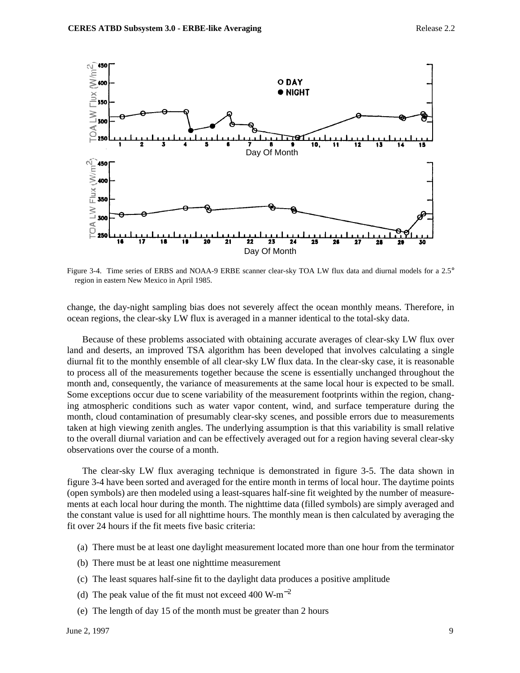

Figure 3-4. Time series of ERBS and NOAA-9 ERBE scanner clear-sky TOA LW flux data and diurnal models for a 2.5° region in eastern New Mexico in April 1985.

change, the day-night sampling bias does not severely affect the ocean monthly means. Therefore, in ocean regions, the clear-sky LW flux is averaged in a manner identical to the total-sky data.

Because of these problems associated with obtaining accurate averages of clear-sky LW flux over land and deserts, an improved TSA algorithm has been developed that involves calculating a single diurnal fit to the monthly ensemble of all clear-sky LW flux data. In the clear-sky case, it is reasonable to process all of the measurements together because the scene is essentially unchanged throughout the month and, consequently, the variance of measurements at the same local hour is expected to be small. Some exceptions occur due to scene variability of the measurement footprints within the region, changing atmospheric conditions such as water vapor content, wind, and surface temperature during the month, cloud contamination of presumably clear-sky scenes, and possible errors due to measurements taken at high viewing zenith angles. The underlying assumption is that this variability is small relative to the overall diurnal variation and can be effectively averaged out for a region having several clear-sky observations over the course of a month.

The clear-sky LW flux averaging technique is demonstrated in figure 3-5. The data shown in figure 3-4 have been sorted and averaged for the entire month in terms of local hour. The daytime points (open symbols) are then modeled using a least-squares half-sine fit weighted by the number of measurements at each local hour during the month. The nighttime data (filled symbols) are simply averaged and the constant value is used for all nighttime hours. The monthly mean is then calculated by averaging the fit over 24 hours if the fit meets five basic criteria:

- (a) There must be at least one daylight measurement located more than one hour from the terminator
- (b) There must be at least one nighttime measurement
- (c) The least squares half-sine fit to the daylight data produces a positive amplitude
- (d) The peak value of the fit must not exceed 400 W-m<sup>-2</sup>
- (e) The length of day 15 of the month must be greater than 2 hours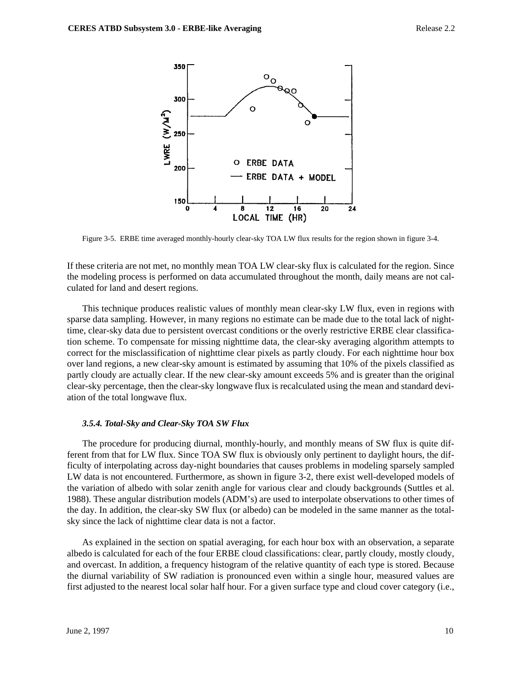

Figure 3-5. ERBE time averaged monthly-hourly clear-sky TOA LW flux results for the region shown in figure 3-4.

If these criteria are not met, no monthly mean TOA LW clear-sky flux is calculated for the region. Since the modeling process is performed on data accumulated throughout the month, daily means are not calculated for land and desert regions.

This technique produces realistic values of monthly mean clear-sky LW flux, even in regions with sparse data sampling. However, in many regions no estimate can be made due to the total lack of nighttime, clear-sky data due to persistent overcast conditions or the overly restrictive ERBE clear classification scheme. To compensate for missing nighttime data, the clear-sky averaging algorithm attempts to correct for the misclassification of nighttime clear pixels as partly cloudy. For each nighttime hour box over land regions, a new clear-sky amount is estimated by assuming that 10% of the pixels classified as partly cloudy are actually clear. If the new clear-sky amount exceeds 5% and is greater than the original clear-sky percentage, then the clear-sky longwave flux is recalculated using the mean and standard deviation of the total longwave flux.

## *3.5.4. Total-Sky and Clear-Sky TOA SW Flux*

The procedure for producing diurnal, monthly-hourly, and monthly means of SW flux is quite different from that for LW flux. Since TOA SW flux is obviously only pertinent to daylight hours, the difficulty of interpolating across day-night boundaries that causes problems in modeling sparsely sampled LW data is not encountered. Furthermore, as shown in figure 3-2, there exist well-developed models of the variation of albedo with solar zenith angle for various clear and cloudy backgrounds (Suttles et al. 1988). These angular distribution models (ADM's) are used to interpolate observations to other times of the day. In addition, the clear-sky SW flux (or albedo) can be modeled in the same manner as the totalsky since the lack of nighttime clear data is not a factor.

As explained in the section on spatial averaging, for each hour box with an observation, a separate albedo is calculated for each of the four ERBE cloud classifications: clear, partly cloudy, mostly cloudy, and overcast. In addition, a frequency histogram of the relative quantity of each type is stored. Because the diurnal variability of SW radiation is pronounced even within a single hour, measured values are first adjusted to the nearest local solar half hour. For a given surface type and cloud cover category (i.e.,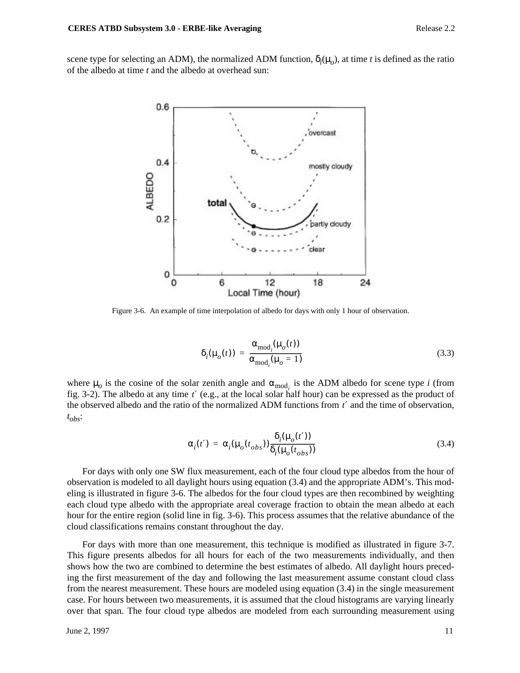scene type for selecting an ADM), the normalized ADM function,  $\delta_i(\mu_o)$ , at time *t* is defined as the ratio of the albedo at time *t* and the albedo at overhead sun:



Figure 3-6. An example of time interpolation of albedo for days with only 1 hour of observation.

$$
\delta_i(\mu_o(t)) = \frac{\alpha_{\text{mod}_i}(\mu_o(t))}{\alpha_{\text{mod}_i}(\mu_o = 1)}
$$
\n(3.3)

where  $\mu_o$  is the cosine of the solar zenith angle and  $\alpha_{\text{mod}_i}$  is the ADM albedo for scene type *i* (from fig. 3-2). The albedo at any time t' (e.g., at the local solar half hour) can be expressed as the product of the observed albedo and the ratio of the normalized ADM functions from t' and the time of observation, *tobs*:

$$
\alpha_i(t') = \alpha_i(\mu_o(t_{obs})) \frac{\delta_i(\mu_o(t'))}{\delta_i(\mu_o(t_{obs}))}
$$
\n(3.4)

For days with only one SW flux measurement, each of the four cloud type albedos from the hour of observation is modeled to all daylight hours using equation (3.4) and the appropriate ADM's. This modeling is illustrated in figure 3-6. The albedos for the four cloud types are then recombined by weighting each cloud type albedo with the appropriate areal coverage fraction to obtain the mean albedo at each hour for the entire region (solid line in fig. 3-6). This process assumes that the relative abundance of the cloud classifications remains constant throughout the day.

For days with more than one measurement, this technique is modified as illustrated in figure 3-7. This figure presents albedos for all hours for each of the two measurements individually, and then shows how the two are combined to determine the best estimates of albedo. All daylight hours preceding the first measurement of the day and following the last measurement assume constant cloud class from the nearest measurement. These hours are modeled using equation (3.4) in the single measurement case. For hours between two measurements, it is assumed that the cloud histograms are varying linearly over that span. The four cloud type albedos are modeled from each surrounding measurement using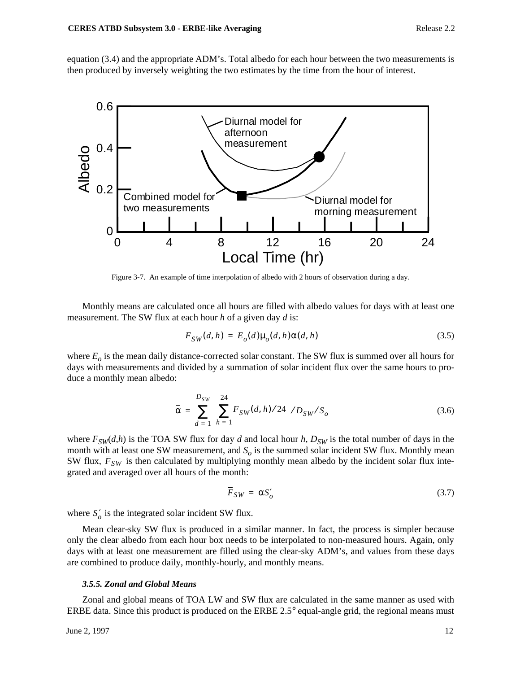equation (3.4) and the appropriate ADM's. Total albedo for each hour between the two measurements is then produced by inversely weighting the two estimates by the time from the hour of interest.



Figure 3-7. An example of time interpolation of albedo with 2 hours of observation during a day.

Monthly means are calculated once all hours are filled with albedo values for days with at least one measurement. The SW flux at each hour *h* of a given day *d* is:

$$
F_{SW}(d, h) = E_o(d)\mu_o(d, h)\alpha(d, h)
$$
\n(3.5)

where  $E<sub>o</sub>$  is the mean daily distance-corrected solar constant. The SW flux is summed over all hours for days with measurements and divided by a summation of solar incident flux over the same hours to produce a monthly mean albedo:

$$
\bar{\alpha} = \sum_{d=1}^{D_{SW}} \left( \sum_{h=1}^{24} F_{SW}(d, h) / 24 \right) / D_{SW} / S_o
$$
\n(3.6)

where  $F_{SW}(d,h)$  is the TOA SW flux for day *d* and local hour *h*,  $D_{SW}$  is the total number of days in the month with at least one SW measurement, and  $S<sub>o</sub>$  is the summed solar incident SW flux. Monthly mean SW flux,  $F_{SW}$  is then calculated by multiplying monthly mean albedo by the incident solar flux integrated and averaged over all hours of the month:

$$
\overline{F}_{SW} = \alpha S_o' \tag{3.7}
$$

where  $S'_{o}$  is the integrated solar incident SW flux.

Mean clear-sky SW flux is produced in a similar manner. In fact, the process is simpler because only the clear albedo from each hour box needs to be interpolated to non-measured hours. Again, only days with at least one measurement are filled using the clear-sky ADM's, and values from these days are combined to produce daily, monthly-hourly, and monthly means.

### *3.5.5. Zonal and Global Means*

Zonal and global means of TOA LW and SW flux are calculated in the same manner as used with ERBE data. Since this product is produced on the ERBE 2.5° equal-angle grid, the regional means must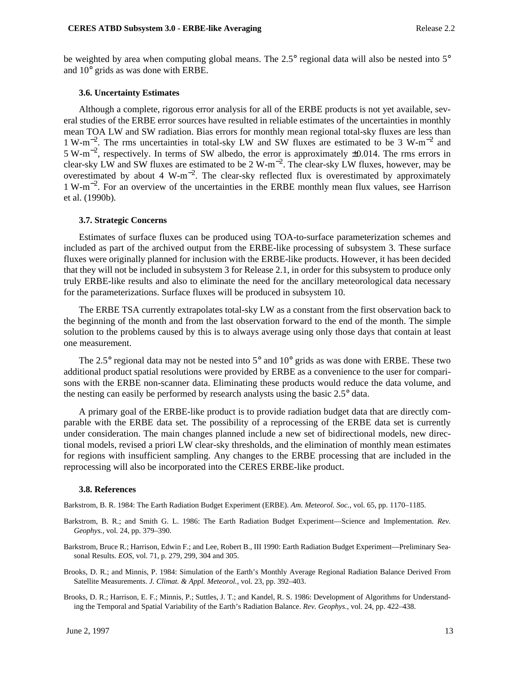be weighted by area when computing global means. The 2.5° regional data will also be nested into 5° and 10° grids as was done with ERBE.

#### **3.6. Uncertainty Estimates**

Although a complete, rigorous error analysis for all of the ERBE products is not yet available, several studies of the ERBE error sources have resulted in reliable estimates of the uncertainties in monthly mean TOA LW and SW radiation. Bias errors for monthly mean regional total-sky fluxes are less than 1 W-m−<sup>2</sup> . The rms uncertainties in total-sky LW and SW fluxes are estimated to be 3 W-m−<sup>2</sup> and 5 W-m−<sup>2</sup> , respectively. In terms of SW albedo, the error is approximately ±0.014. The rms errors in clear-sky LW and SW fluxes are estimated to be 2 W-m<sup>-2</sup>. The clear-sky LW fluxes, however, may be overestimated by about 4 W-m<sup>-2</sup>. The clear-sky reflected flux is overestimated by approximately 1 W-m−<sup>2</sup> . For an overview of the uncertainties in the ERBE monthly mean flux values, see Harrison et al. (1990b).

#### **3.7. Strategic Concerns**

Estimates of surface fluxes can be produced using TOA-to-surface parameterization schemes and included as part of the archived output from the ERBE-like processing of subsystem 3. These surface fluxes were originally planned for inclusion with the ERBE-like products. However, it has been decided that they will not be included in subsystem 3 for Release 2.1, in order for this subsystem to produce only truly ERBE-like results and also to eliminate the need for the ancillary meteorological data necessary for the parameterizations. Surface fluxes will be produced in subsystem 10.

The ERBE TSA currently extrapolates total-sky LW as a constant from the first observation back to the beginning of the month and from the last observation forward to the end of the month. The simple solution to the problems caused by this is to always average using only those days that contain at least one measurement.

The 2.5° regional data may not be nested into 5° and 10° grids as was done with ERBE. These two additional product spatial resolutions were provided by ERBE as a convenience to the user for comparisons with the ERBE non-scanner data. Eliminating these products would reduce the data volume, and the nesting can easily be performed by research analysts using the basic 2.5° data.

A primary goal of the ERBE-like product is to provide radiation budget data that are directly comparable with the ERBE data set. The possibility of a reprocessing of the ERBE data set is currently under consideration. The main changes planned include a new set of bidirectional models, new directional models, revised a priori LW clear-sky thresholds, and the elimination of monthly mean estimates for regions with insufficient sampling. Any changes to the ERBE processing that are included in the reprocessing will also be incorporated into the CERES ERBE-like product.

#### **3.8. References**

Barkstrom, B. R. 1984: The Earth Radiation Budget Experiment (ERBE). *Am. Meteorol. Soc.*, vol. 65, pp. 1170–1185.

- Barkstrom, B. R.; and Smith G. L. 1986: The Earth Radiation Budget Experiment—Science and Implementation. *Rev. Geophys.*, vol. 24, pp. 379–390.
- Barkstrom, Bruce R.; Harrison, Edwin F.; and Lee, Robert B., III 1990: Earth Radiation Budget Experiment—Preliminary Seasonal Results. *EOS*, vol. 71, p. 279, 299, 304 and 305.
- Brooks, D. R.; and Minnis, P. 1984: Simulation of the Earth's Monthly Average Regional Radiation Balance Derived From Satellite Measurements. *J. Climat. & Appl. Meteorol.*, vol. 23, pp. 392–403.
- Brooks, D. R.; Harrison, E. F.; Minnis, P.; Suttles, J. T.; and Kandel, R. S. 1986: Development of Algorithms for Understanding the Temporal and Spatial Variability of the Earth's Radiation Balance. *Rev. Geophys.*, vol. 24, pp. 422–438.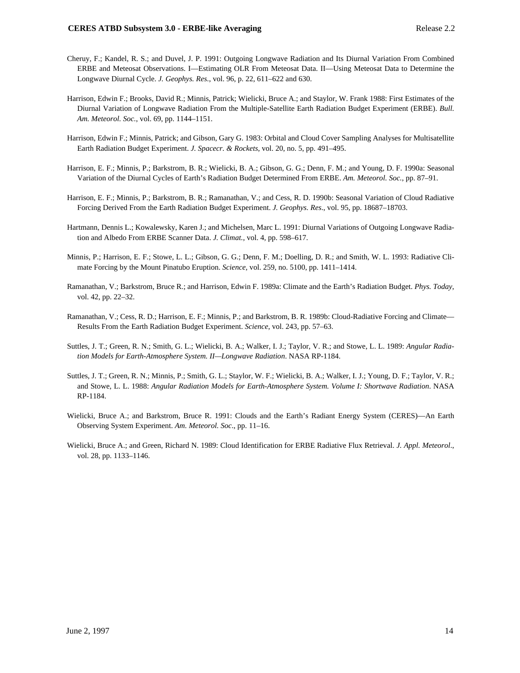- Cheruy, F.; Kandel, R. S.; and Duvel, J. P. 1991: Outgoing Longwave Radiation and Its Diurnal Variation From Combined ERBE and Meteosat Observations. I—Estimating OLR From Meteosat Data. II—Using Meteosat Data to Determine the Longwave Diurnal Cycle. *J. Geophys. Res.*, vol. 96, p. 22, 611–622 and 630.
- Harrison, Edwin F.; Brooks, David R.; Minnis, Patrick; Wielicki, Bruce A.; and Staylor, W. Frank 1988: First Estimates of the Diurnal Variation of Longwave Radiation From the Multiple-Satellite Earth Radiation Budget Experiment (ERBE). *Bull. Am. Meteorol. Soc.*, vol. 69, pp. 1144–1151.
- Harrison, Edwin F.; Minnis, Patrick; and Gibson, Gary G. 1983: Orbital and Cloud Cover Sampling Analyses for Multisatellite Earth Radiation Budget Experiment. *J. Spacecr. & Rockets*, vol. 20, no. 5, pp. 491–495.
- Harrison, E. F.; Minnis, P.; Barkstrom, B. R.; Wielicki, B. A.; Gibson, G. G.; Denn, F. M.; and Young, D. F. 1990a: Seasonal Variation of the Diurnal Cycles of Earth's Radiation Budget Determined From ERBE. *Am. Meteorol. Soc.*, pp. 87–91.
- Harrison, E. F.; Minnis, P.; Barkstrom, B. R.; Ramanathan, V.; and Cess, R. D. 1990b: Seasonal Variation of Cloud Radiative Forcing Derived From the Earth Radiation Budget Experiment. *J. Geophys. Res*., vol. 95, pp. 18687–18703.
- Hartmann, Dennis L.; Kowalewsky, Karen J.; and Michelsen, Marc L. 1991: Diurnal Variations of Outgoing Longwave Radiation and Albedo From ERBE Scanner Data. *J. Climat.,* vol. 4, pp. 598–617.
- Minnis, P.; Harrison, E. F.; Stowe, L. L.; Gibson, G. G.; Denn, F. M.; Doelling, D. R.; and Smith, W. L. 1993: Radiative Climate Forcing by the Mount Pinatubo Eruption. *Science,* vol. 259, no. 5100, pp. 1411–1414.
- Ramanathan, V.; Barkstrom, Bruce R.; and Harrison, Edwin F. 1989a: Climate and the Earth's Radiation Budget. *Phys. Today*, vol. 42, pp. 22–32.
- Ramanathan, V.; Cess, R. D.; Harrison, E. F.; Minnis, P.; and Barkstrom, B. R. 1989b: Cloud-Radiative Forcing and Climate— Results From the Earth Radiation Budget Experiment. *Science*, vol. 243, pp. 57–63.
- Suttles, J. T.; Green, R. N.; Smith, G. L.; Wielicki, B. A.; Walker, I. J.; Taylor, V. R.; and Stowe, L. L. 1989: *Angular Radiation Models for Earth-Atmosphere System. II—Longwave Radiation*. NASA RP-1184.
- Suttles, J. T.; Green, R. N.; Minnis, P.; Smith, G. L.; Staylor, W. F.; Wielicki, B. A.; Walker, I. J.; Young, D. F.; Taylor, V. R.; and Stowe, L. L. 1988: *Angular Radiation Models for Earth-Atmosphere System. Volume I: Shortwave Radiation*. NASA RP-1184.
- Wielicki, Bruce A.; and Barkstrom, Bruce R. 1991: Clouds and the Earth's Radiant Energy System (CERES)—An Earth Observing System Experiment. *Am. Meteorol. Soc*., pp. 11–16.
- Wielicki, Bruce A.; and Green, Richard N. 1989: Cloud Identification for ERBE Radiative Flux Retrieval. *J. Appl. Meteorol*., vol. 28, pp. 1133–1146.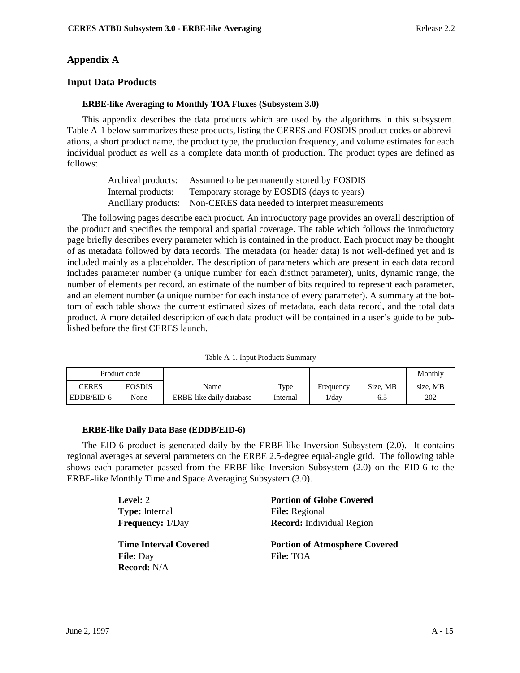# **Appendix A**

# **Input Data Products**

## **ERBE-like Averaging to Monthly TOA Fluxes (Subsystem 3.0)**

This appendix describes the data products which are used by the algorithms in this subsystem. Table A-1 below summarizes these products, listing the CERES and EOSDIS product codes or abbreviations, a short product name, the product type, the production frequency, and volume estimates for each individual product as well as a complete data month of production. The product types are defined as follows:

| Archival products: | Assumed to be permanently stored by EOSDIS                          |
|--------------------|---------------------------------------------------------------------|
| Internal products: | Temporary storage by EOSDIS (days to years)                         |
|                    | Ancillary products: Non-CERES data needed to interpret measurements |

The following pages describe each product. An introductory page provides an overall description of the product and specifies the temporal and spatial coverage. The table which follows the introductory page briefly describes every parameter which is contained in the product. Each product may be thought of as metadata followed by data records. The metadata (or header data) is not well-defined yet and is included mainly as a placeholder. The description of parameters which are present in each data record includes parameter number (a unique number for each distinct parameter), units, dynamic range, the number of elements per record, an estimate of the number of bits required to represent each parameter, and an element number (a unique number for each instance of every parameter). A summary at the bottom of each table shows the current estimated sizes of metadata, each data record, and the total data product. A more detailed description of each data product will be contained in a user's guide to be published before the first CERES launch.

| Table A-1. Input Products Summary |  |  |
|-----------------------------------|--|--|
|-----------------------------------|--|--|

|            | Product code |                          |          |           |          | Monthly  |
|------------|--------------|--------------------------|----------|-----------|----------|----------|
| CERES      | EOSDIS       | Name                     | Type     | Frequency | Size. MB | size. MB |
| EDDB/EID-6 | None         | ERBE-like daily database | Internal | $1$ /day  | 6.2      | 202      |

### **ERBE-like Daily Data Base (EDDB/EID-6)**

The EID-6 product is generated daily by the ERBE-like Inversion Subsystem (2.0). It contains regional averages at several parameters on the ERBE 2.5-degree equal-angle grid. The following table shows each parameter passed from the ERBE-like Inversion Subsystem (2.0) on the EID-6 to the ERBE-like Monthly Time and Space Averaging Subsystem (3.0).

| Level: 2                     | <b>Portion of Globe Covered</b>      |
|------------------------------|--------------------------------------|
| <b>Type:</b> Internal        | <b>File:</b> Regional                |
| <b>Frequency:</b> 1/Day      | <b>Record:</b> Individual Region     |
|                              |                                      |
| <b>Time Interval Covered</b> | <b>Portion of Atmosphere Covered</b> |
| <b>File:</b> Day             | <b>File: TOA</b>                     |
|                              |                                      |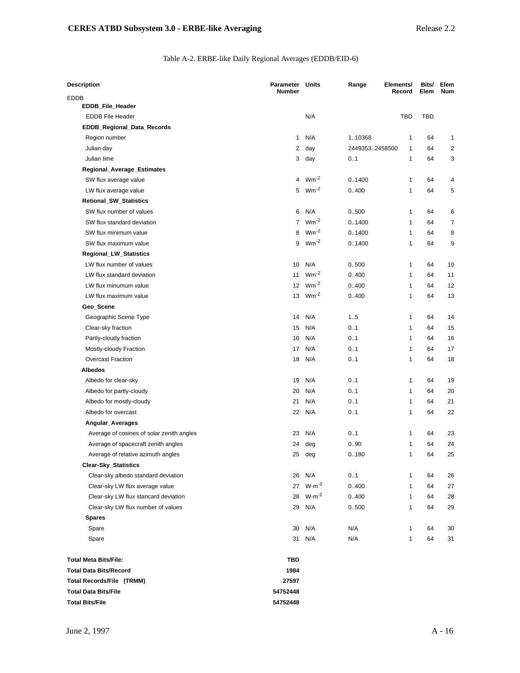## Table A-2. ERBE-like Daily Regional Averages (EDDB/EID-6)

| <b>Description</b>                        | <b>Parameter Units</b><br><b>Number</b> |            | Range          | Elements/<br>Record | Bits/<br>Elem | Elem<br><b>Num</b> |
|-------------------------------------------|-----------------------------------------|------------|----------------|---------------------|---------------|--------------------|
| EDDB                                      |                                         |            |                |                     |               |                    |
| EDDB_File_Header                          |                                         |            |                |                     |               |                    |
| <b>EDDB File Header</b>                   |                                         | N/A        |                | <b>TBD</b>          | <b>TBD</b>    |                    |
| EDDB_Regional_Data_Records                |                                         |            |                |                     |               |                    |
| Region number                             | 1                                       | N/A        | 110368         | 1                   | 64            | 1                  |
| Julian day                                | 2                                       | day        | 24493532458500 | $\mathbf{1}$        | 64            | $\overline{2}$     |
| Julian time                               | 3                                       | day        | 0.1            | $\mathbf{1}$        | 64            | 3                  |
| Regional_Average_Estimates                |                                         |            |                |                     |               |                    |
| SW flux average value                     | $\overline{4}$                          | $Wm^{-2}$  | 01400          | 1                   | 64            | $\overline{4}$     |
| LW flux average value                     | 5                                       | $Wm^{-2}$  | 0.400          | $\mathbf{1}$        | 64            | 5                  |
| Retional_SW_Statistics                    |                                         |            |                |                     |               |                    |
| SW flux number of values                  | 6                                       | N/A        | 0.500          | 1                   | 64            | 6                  |
| SW flux standard deviation                | $\overline{7}$                          | $Wm^{-2}$  | 01400          | $\mathbf{1}$        | 64            | 7                  |
| SW flux minimum value                     | 8                                       | $Wm^{-2}$  | 01400          | $\mathbf{1}$        | 64            | 8                  |
| SW flux maximum value                     | 9                                       | $Wm^{-2}$  | 01400          | $\mathbf{1}$        | 64            | 9                  |
| Regional_LW_Statistics                    |                                         |            |                |                     |               |                    |
| LW flux number of values                  | 10                                      | N/A        | 0500           | $\mathbf{1}$        | 64            | 10                 |
| LW flux standard deviation                | 11                                      | $Wm^{-2}$  | 0.400          | $\mathbf{1}$        | 64            | 11                 |
| LW flux minumum value                     | 12                                      | $Wm^{-2}$  | 0.400          | $\mathbf{1}$        | 64            | 12                 |
| LW flux maximum value                     | 13                                      | $Wm^{-2}$  | 0.400          | $\mathbf{1}$        | 64            | 13                 |
| Geo_Scene                                 |                                         |            |                |                     |               |                    |
| Geographic Scene Type                     | 14                                      | N/A        | 1.5            | $\mathbf{1}$        | 64            | 14                 |
| Clear-sky fraction                        | 15                                      | N/A        | 0.1            | 1                   | 64            | 15                 |
| Partly-cloudy fraction                    | 16                                      | N/A        | 0.1            | $\mathbf{1}$        | 64            | 16                 |
| Mostly-cloudy Fraction                    | 17                                      | N/A        | 0.1            | $\mathbf{1}$        | 64            | 17                 |
| <b>Overcast Fraction</b>                  | 18                                      | N/A        | 0.1            | 1                   | 64            | 18                 |
| Albedos                                   |                                         |            |                |                     |               |                    |
| Albedo for clear-sky                      | 19                                      | N/A        | 0.1            | $\mathbf{1}$        | 64            | 19                 |
| Albedo for partly-cloudy                  | 20                                      | N/A        | 0.1            | $\mathbf{1}$        | 64            | 20                 |
| Albedo for mostly-cloudy                  | 21                                      | N/A        | 0.1            | 1                   | 64            | 21                 |
| Albedo for overcast                       | 22                                      | N/A        | 0.1            | $\mathbf{1}$        | 64            | 22                 |
| Angular_Averages                          |                                         |            |                |                     |               |                    |
| Average of cosines of solar zenith angles | 23                                      | N/A        | 0.1            | 1                   | 64            | 23                 |
| Average of spacecraft zenith angles       | 24                                      | deg        | 0.90           | $\mathbf{1}$        | 64            | 24                 |
| Average of relative azimuth angles        | 25                                      | deg        | 0.180          | $\mathbf{1}$        | 64            | 25                 |
| <b>Clear-Sky_Statistics</b>               |                                         |            |                |                     |               |                    |
| Clear-sky albedo standard deviation       | 26                                      | N/A        | 0.1            | 1                   | 64            | 26                 |
| Clear-sky LW flux average value           | 27                                      | $W-m^{-2}$ | 0.400          | 1                   | 64            | 27                 |
| Clear-sky LW flux stancard deviation      | 28                                      | $W-m^{-2}$ | 0.400          | $\mathbf{1}$        | 64            | 28                 |
| Clear-sky LW flux number of values        | 29                                      | N/A        | 0.500          | 1                   | 64            | 29                 |
| <b>Spares</b>                             |                                         |            |                |                     |               |                    |
| Spare                                     | 30                                      | N/A        | N/A            | $\mathbf{1}$        | 64            | 30                 |
| Spare                                     | 31                                      | N/A        | N/A            | 1                   | 64            | 31                 |
| <b>Total Meta Bits/File:</b>              | <b>TBD</b>                              |            |                |                     |               |                    |
| <b>Total Data Bits/Record</b>             | 1984                                    |            |                |                     |               |                    |
| Total Records/File (TRMM)                 | 27597                                   |            |                |                     |               |                    |
| <b>Total Data Bits/File</b>               | 54752448                                |            |                |                     |               |                    |
| <b>Total Bits/File</b>                    | 54752448                                |            |                |                     |               |                    |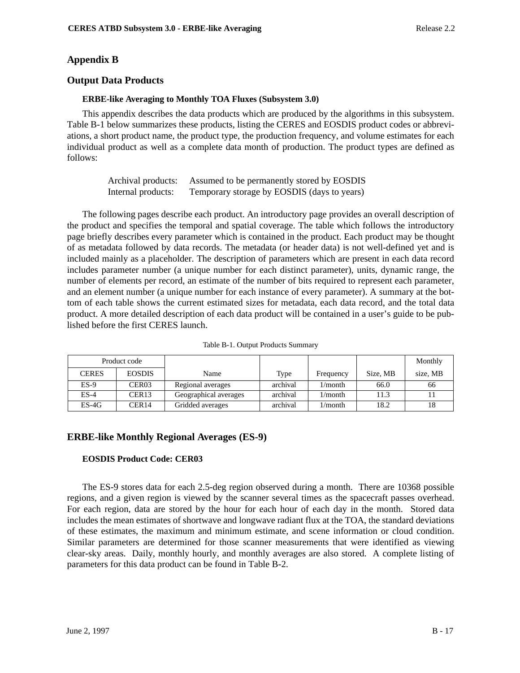# **Appendix B**

# **Output Data Products**

## **ERBE-like Averaging to Monthly TOA Fluxes (Subsystem 3.0)**

This appendix describes the data products which are produced by the algorithms in this subsystem. Table B-1 below summarizes these products, listing the CERES and EOSDIS product codes or abbreviations, a short product name, the product type, the production frequency, and volume estimates for each individual product as well as a complete data month of production. The product types are defined as follows:

| Archival products: | Assumed to be permanently stored by EOSDIS  |
|--------------------|---------------------------------------------|
| Internal products: | Temporary storage by EOSDIS (days to years) |

The following pages describe each product. An introductory page provides an overall description of the product and specifies the temporal and spatial coverage. The table which follows the introductory page briefly describes every parameter which is contained in the product. Each product may be thought of as metadata followed by data records. The metadata (or header data) is not well-defined yet and is included mainly as a placeholder. The description of parameters which are present in each data record includes parameter number (a unique number for each distinct parameter), units, dynamic range, the number of elements per record, an estimate of the number of bits required to represent each parameter, and an element number (a unique number for each instance of every parameter). A summary at the bottom of each table shows the current estimated sizes for metadata, each data record, and the total data product. A more detailed description of each data product will be contained in a user's guide to be published before the first CERES launch.

|              | Product code      |                       |          |            |          | Monthly  |
|--------------|-------------------|-----------------------|----------|------------|----------|----------|
| <b>CERES</b> | <b>EOSDIS</b>     | Name                  | Type     | Frequency  | Size. MB | size, MB |
| $ES-9$       | CER <sub>03</sub> | Regional averages     | archival | $1/m$ onth | 66.0     | 66       |
| $ES-4$       | CER <sub>13</sub> | Geographical averages | archival | $1/m$ onth | 11.3     |          |
| $ES-4G$      | CER14             | Gridded averages      | archival | 1/month    | 18.2     |          |

Table B-1. Output Products Summary

# **ERBE-like Monthly Regional Averages (ES-9)**

## **EOSDIS Product Code: CER03**

The ES-9 stores data for each 2.5-deg region observed during a month. There are 10368 possible regions, and a given region is viewed by the scanner several times as the spacecraft passes overhead. For each region, data are stored by the hour for each hour of each day in the month. Stored data includes the mean estimates of shortwave and longwave radiant flux at the TOA, the standard deviations of these estimates, the maximum and minimum estimate, and scene information or cloud condition. Similar parameters are determined for those scanner measurements that were identified as viewing clear-sky areas. Daily, monthly hourly, and monthly averages are also stored. A complete listing of parameters for this data product can be found in Table B-2.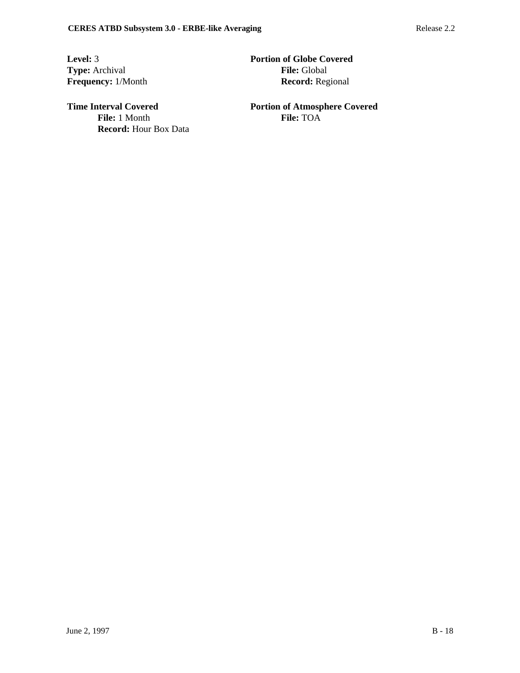**Frequency:** 1/Month

**Record:** Hour Box Data

**Level:** 3 **Portion of Globe Covered Type:** Archival **File:** Global **File:** Global **File:** Global **File:** Global **Record:** Regional

**Time Interval Covered 2008 Portion of Atmosphere Covered File:** 1 Month **File:** TOA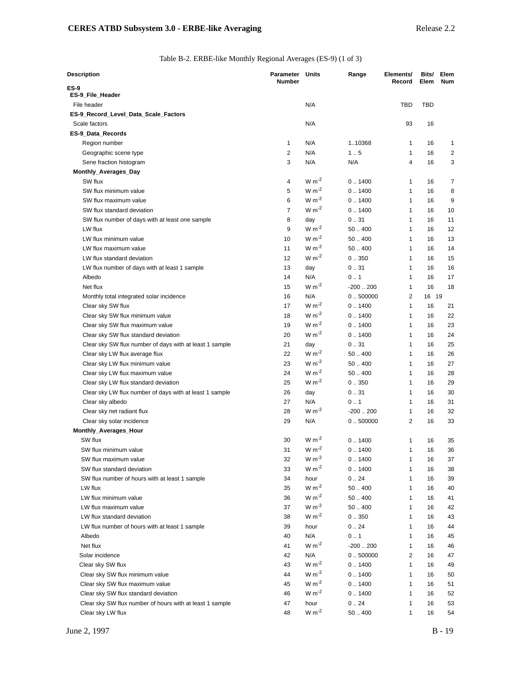## Table B-2. ERBE-like Monthly Regional Averages (ES-9) (1 of 3)

| Description                                                                 | Parameter<br><b>Number</b> | Units          | Range            | Elements/<br>Record          | Bits/<br>Elem | Elem<br><b>Num</b> |
|-----------------------------------------------------------------------------|----------------------------|----------------|------------------|------------------------------|---------------|--------------------|
| ES-9                                                                        |                            |                |                  |                              |               |                    |
| ES-9_File_Header                                                            |                            |                |                  |                              |               |                    |
| File header                                                                 |                            | N/A            |                  | <b>TBD</b>                   | <b>TBD</b>    |                    |
| ES-9_Record_Level_Data_Scale_Factors                                        |                            |                |                  |                              |               |                    |
| Scale factors                                                               |                            | N/A            |                  | 93                           | 16            |                    |
| ES-9_Data_Records                                                           |                            |                |                  |                              |               |                    |
| Region number                                                               | 1                          | N/A            | 110368           | 1                            | 16            | 1                  |
| Geographic scene type                                                       | 2                          | N/A            | 1.5              | $\mathbf{1}$                 | 16            | 2                  |
| Sene fraction histogram                                                     | 3                          | N/A            | N/A              | 4                            | 16            | 3                  |
| Monthly_Averages_Day<br>SW flux                                             |                            | $W m-2$        | 0.1400           |                              |               |                    |
|                                                                             | 4<br>5                     | $W m-2$        | 0.1400           | 1<br>$\mathbf{1}$            | 16            | 7<br>8             |
| SW flux minimum value                                                       |                            | $W m-2$        |                  |                              | 16            |                    |
| SW flux maximum value                                                       | 6<br>$\overline{7}$        | $W m-2$        | 0.1400           | 1<br>$\mathbf{1}$            | 16            | 9                  |
| SW flux standard deviation                                                  |                            |                | 0.1400           |                              | 16            | 10                 |
| SW flux number of days with at least one sample                             | 8<br>9                     | day<br>$W m-2$ | 0.31             | 1                            | 16            | 11                 |
| LW flux<br>LW flux minimum value                                            |                            | $W m^{-2}$     | 50.400<br>50.400 | $\mathbf{1}$                 | 16            | 12                 |
|                                                                             | 10                         | $W m^{-2}$     | 50.400           | $\mathbf{1}$                 | 16            | 13                 |
| LW flux maximum value                                                       | 11<br>12                   | $W m^{-2}$     | 0.350            | $\mathbf{1}$<br>$\mathbf{1}$ | 16            | 14                 |
| LW flux standard deviation<br>LW flux number of days with at least 1 sample | 13                         |                |                  | $\mathbf{1}$                 | 16            | 15<br>16           |
| Albedo                                                                      | 14                         | day<br>N/A     | 0.31<br>0.1      | $\mathbf{1}$                 | 16<br>16      | 17                 |
| Net flux                                                                    | 15                         | $W m-2$        | $-200.200$       | $\mathbf{1}$                 | 16            | 18                 |
|                                                                             | 16                         | N/A            | 0.500000         | 2                            | 16 19         |                    |
| Monthly total integrated solar incidence<br>Clear sky SW flux               | 17                         | $W m-2$        | 0.1400           | $\mathbf{1}$                 | 16            | 21                 |
| Clear sky SW flux minimum value                                             | 18                         | $W m-2$        | 0.1400           | $\mathbf{1}$                 | 16            | 22                 |
| Clear sky SW flux maximum value                                             | 19                         | $W m-2$        | 0.1400           | $\mathbf{1}$                 | 16            | 23                 |
| Clear sky SW flux standard deviation                                        | 20                         | $W m-2$        | 0.1400           | $\mathbf{1}$                 | 16            | 24                 |
| Clear sky SW flux number of days with at least 1 sample                     | 21                         | day            | 0.31             | $\mathbf{1}$                 | 16            | 25                 |
| Clear sky LW flux average flux                                              | 22                         | $W m-2$        | 50.400           | $\mathbf{1}$                 | 16            | 26                 |
| Clear sky LW flux minimum value                                             | 23                         | $W m-2$        | 50.400           | 1                            | 16            | 27                 |
| Clear sky LW flux maximum value                                             | 24                         | $W m^{-2}$     | 50.400           | $\mathbf{1}$                 | 16            | 28                 |
| Clear sky LW flux standard deviation                                        | 25                         | $W m-2$        | 0.350            | $\mathbf{1}$                 | 16            | 29                 |
| Clear sky LW flux number of days with at least 1 sample                     | 26                         | day            | 0.31             | $\mathbf{1}$                 | 16            | 30                 |
| Clear sky albedo                                                            | 27                         | N/A            | 0.1              | $\mathbf{1}$                 | 16            | 31                 |
| Clear sky net radiant flux                                                  | 28                         | $W m-2$        | $-200.200$       | $\mathbf{1}$                 | 16            | 32                 |
| Clear sky solar incidence                                                   | 29                         | N/A            | 0.500000         | 2                            | 16            | 33                 |
| Monthly_Averages_Hour                                                       |                            |                |                  |                              |               |                    |
| SW flux                                                                     | 30                         | $W m-2$        | 0.1400           | 1                            | 16            | 35                 |
| SW flux minimum value                                                       | 31                         | $W m-2$        | 0.1400           | $\mathbf{1}$                 | 16            | 36                 |
| SW flux maximum value                                                       | 32                         | $W m-2$        | 0.1400           | 1                            | 16            | 37                 |
| SW flux standard deviation                                                  | 33                         | $W m-2$        | 0.1400           | 1                            | 16            | 38                 |
| SW flux number of hours with at least 1 sample                              | 34                         | hour           | 0.24             | 1                            | 16            | 39                 |
| LW flux                                                                     | 35                         | $W m-2$        | 50.400           | $\mathbf{1}$                 | 16            | 40                 |
| LW flux minimum value                                                       | 36                         | $W m^{-2}$     | 50.400           | 1                            | 16            | 41                 |
| LW flux maximum value                                                       | 37                         | $W m-2$        | 50.400           | 1                            | 16            | 42                 |
| LW flux standard deviation                                                  | 38                         | $W m-2$        | 0.350            | $\mathbf{1}$                 | 16            | 43                 |
| LW flux number of hours with at least 1 sample                              | 39                         | hour           | 0.24             | 1                            | 16            | 44                 |
| Albedo                                                                      | 40                         | N/A            | 0.1              | 1                            | 16            | 45                 |
| Net flux                                                                    | 41                         | $W m-2$        | $-200.200$       | 1                            | 16            | 46                 |
| Solar incidence                                                             | 42                         | N/A            | 0.500000         | 2                            | 16            | 47                 |
| Clear sky SW flux                                                           | 43                         | $W m-2$        | 0.1400           | 1                            | 16            | 49                 |
| Clear sky SW flux minimum value                                             | 44                         | $W m-2$        | 0.1400           | 1                            | 16            | 50                 |
| Clear sky SW flux maximum value                                             | 45                         | $W m^{-2}$     | 0.1400           | 1                            | 16            | 51                 |
| Clear sky SW flux standard deviation                                        | 46                         | $W m^{-2}$     | 0.1400           | $\mathbf{1}$                 | 16            | 52                 |
| Clear sky SW flux number of hours with at least 1 sample                    | 47                         | hour           | 0.24             | 1                            | 16            | 53                 |
| Clear sky LW flux                                                           | 48                         | $W m^{-2}$     | 50.400           | 1                            | 16            | 54                 |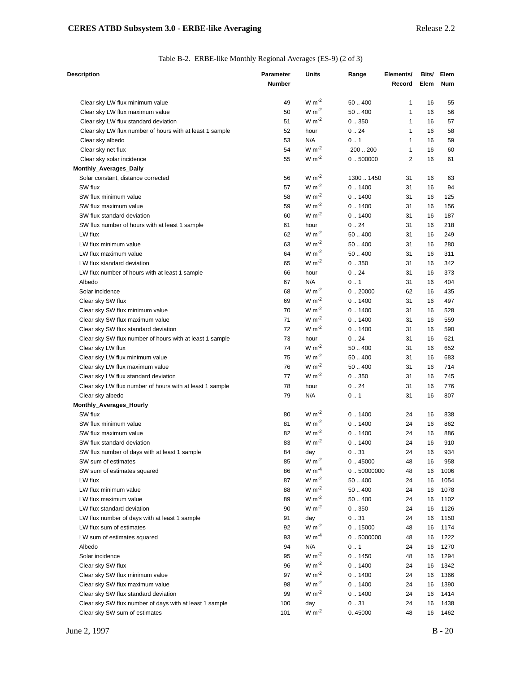| Table B-2. ERBE-like Monthly Regional Averages (ES-9) (2 of 3) |  |  |  |
|----------------------------------------------------------------|--|--|--|
|                                                                |  |  |  |

| Description                                                          | <b>Parameter</b><br><b>Number</b> | Units                 | Range          | Elements/<br>Record | Bits/<br>Elem | Elem<br>Num |
|----------------------------------------------------------------------|-----------------------------------|-----------------------|----------------|---------------------|---------------|-------------|
| Clear sky LW flux minimum value                                      | 49                                | $W m-2$               | 50.400         | 1                   | 16            | 55          |
| Clear sky LW flux maximum value                                      | 50                                | $W m^{-2}$            | 50.400         | 1                   | 16            | 56          |
| Clear sky LW flux standard deviation                                 | 51                                | $W m-2$               | 0.350          | $\mathbf{1}$        | 16            | 57          |
| Clear sky LW flux number of hours with at least 1 sample             | 52                                | hour                  | 0.24           | $\mathbf{1}$        | 16            | 58          |
| Clear sky albedo                                                     | 53                                | N/A                   | 0.1            | $\mathbf{1}$        | 16            | 59          |
| Clear sky net flux                                                   | 54                                | $W m-2$               | $-200.200$     | $\mathbf{1}$        | 16            | 60          |
| Clear sky solar incidence                                            | 55                                | $W m-2$               | 0.500000       | 2                   | 16            | 61          |
| Monthly_Averages_Daily                                               |                                   |                       |                |                     |               |             |
| Solar constant, distance corrected                                   | 56                                | $W m-2$               | 13001450       | 31                  | 16            | 63          |
| SW flux                                                              | 57                                | $W m-2$               | 0.1400         | 31                  | 16            | 94          |
| SW flux minimum value                                                | 58                                | $W m-2$               | 0.1400         | 31                  | 16            | 125         |
| SW flux maximum value                                                | 59                                | $W m-2$               | 0.1400         | 31                  | 16            | 156         |
| SW flux standard deviation                                           | 60                                | $W m-2$               | 0.1400         | 31                  | 16            | 187         |
| SW flux number of hours with at least 1 sample                       | 61                                | hour                  | 0.24           | 31                  | 16            | 218         |
| LW flux                                                              | 62                                | $W m-2$               | 50.400         | 31                  | 16            | 249         |
| LW flux minimum value                                                | 63                                | $W m-2$               | 50.400         | 31                  | 16            | 280         |
| LW flux maximum value                                                | 64                                | $W m^{-2}$            | 50.400         | 31                  | 16            | 311         |
| LW flux standard deviation                                           | 65                                | $W m-2$               | 0.350          | 31                  | 16            | 342         |
| LW flux number of hours with at least 1 sample                       | 66                                | hour                  | 0.24           | 31                  | 16            | 373         |
| Albedo                                                               | 67                                | N/A                   | 0.1            | 31                  | 16            | 404         |
| Solar incidence                                                      | 68                                | $W m-2$               | 0.20000        | 62                  | 16            | 435         |
| Clear sky SW flux                                                    | 69                                | $W m^{-2}$            | 0.1400         | 31                  | 16            | 497         |
| Clear sky SW flux minimum value                                      | 70                                | $W m-2$               | 0.1400         | 31                  | 16            | 528         |
| Clear sky SW flux maximum value                                      | 71                                | $W m-2$               | 0.1400         | 31                  | 16            | 559         |
| Clear sky SW flux standard deviation                                 | 72                                | $W m-2$               | 0.1400         | 31                  | 16            | 590         |
| Clear sky SW flux number of hours with at least 1 sample             | 73                                | hour                  | 0.24           | 31                  | 16            | 621         |
| Clear sky LW flux                                                    | 74                                | $W m-2$               | 50.400         | 31                  | 16            | 652         |
| Clear sky LW flux minimum value                                      | 75                                | $W m-2$               | 50.400         | 31                  | 16            | 683         |
| Clear sky LW flux maximum value                                      | 76                                | $W m-2$               | 50.400         | 31                  | 16            | 714         |
| Clear sky LW flux standard deviation                                 | 77                                | $W m-2$               | 0.350          | 31                  | 16            | 745         |
| Clear sky LW flux number of hours with at least 1 sample             | 78                                | hour                  | 0.24           | 31                  | 16            | 776         |
| Clear sky albedo                                                     | 79                                | N/A                   | 0.1            | 31                  | 16            | 807         |
| Monthly_Averages_Hourly                                              |                                   |                       |                |                     |               |             |
| SW flux                                                              | 80                                | $W m^{-2}$<br>$W m-2$ | 0.1400         | 24                  | 16            | 838         |
| SW flux minimum value                                                | 81                                | $W m-2$               | 0.1400         | 24                  | 16            | 862         |
| SW flux maximum value                                                | 82                                | $W m-2$               | 0.1400         | 24                  | 16            | 886         |
| SW flux standard deviation                                           | 83                                |                       | 0.1400         | 24                  | 16            | 910         |
| SW flux number of days with at least 1 sample<br>SW sum of estimates | 84<br>85                          | day<br>$W m-2$        | 031<br>0.45000 | 24<br>48            | 16<br>16      | 934<br>958  |
| SW sum of estimates squared                                          | 86                                | $W m^{-4}$            | 0.50000000     | 48                  | 16            | 1006        |
| LW flux                                                              | 87                                | $W m-2$               | 50.400         | 24                  | 16            | 1054        |
| LW flux minimum value                                                | 88                                | $W m-2$               | 50.400         | 24                  | 16            | 1078        |
| LW flux maximum value                                                | 89                                | $W m^{-2}$            | 50.400         | 24                  | 16            | 1102        |
| LW flux standard deviation                                           | 90                                | $W m^{-2}$            | 0.350          | 24                  | 16            | 1126        |
| LW flux number of days with at least 1 sample                        | 91                                | day                   | 0.31           | 24                  | 16            | 1150        |
| LW flux sum of estimates                                             | 92                                | $W m-2$               | 0.15000        | 48                  | 16            | 1174        |
| LW sum of estimates squared                                          | 93                                | $W m-4$               | 0.5000000      | 48                  | 16            | 1222        |
| Albedo                                                               | 94                                | N/A                   | 0.1            | 24                  | 16            | 1270        |
| Solar incidence                                                      | 95                                | $W m^{-2}$            | 0.1450         | 48                  | 16            | 1294        |
| Clear sky SW flux                                                    | 96                                | $W m-2$               | 0.1400         | 24                  | 16            | 1342        |
| Clear sky SW flux minimum value                                      | 97                                | $W m-2$               | 0.1400         | 24                  | 16            | 1366        |
| Clear sky SW flux maximum value                                      | 98                                | $W m^{-2}$            | 0.1400         | 24                  | 16            | 1390        |
| Clear sky SW flux standard deviation                                 | 99                                | $W m-2$               | 0.1400         | 24                  | 16            | 1414        |
| Clear sky SW flux number of days with at least 1 sample              | 100                               | day                   | 031            | 24                  | 16            | 1438        |
| Clear sky SW sum of estimates                                        | 101                               | $W m^{-2}$            | 045000         | 48                  | 16            | 1462        |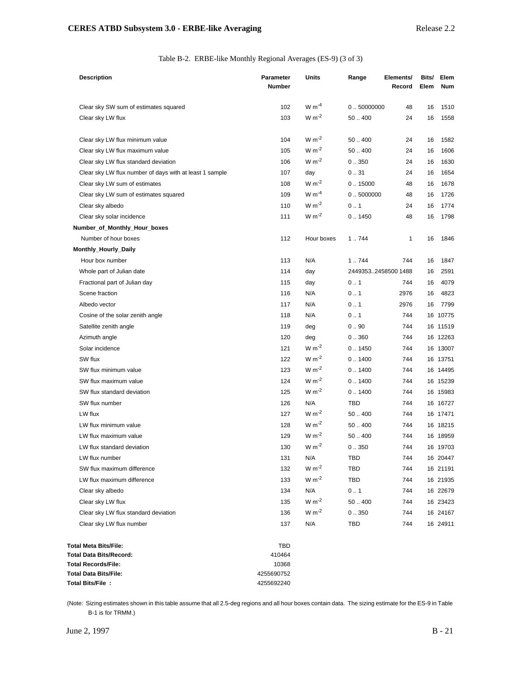| Table B-2. ERBE-like Monthly Regional Averages (ES-9) (3 of 3) |  |  |  |
|----------------------------------------------------------------|--|--|--|
|                                                                |  |  |  |

| <b>Description</b>                                      | <b>Parameter</b><br><b>Number</b> | Units      | Range               | Elements/<br>Record | Bits/<br>Elem | Elem<br><b>Num</b> |
|---------------------------------------------------------|-----------------------------------|------------|---------------------|---------------------|---------------|--------------------|
| Clear sky SW sum of estimates squared                   | 102                               | W $m^{-4}$ | 0.50000000          | 48                  | 16            | 1510               |
| Clear sky LW flux                                       | 103                               | $W m^{-2}$ | 50.400              | 24                  | 16            | 1558               |
| Clear sky LW flux minimum value                         | 104                               | $W m^{-2}$ | 50.400              | 24                  | 16            | 1582               |
| Clear sky LW flux maximum value                         | 105                               | $W m-2$    | 50.400              | 24                  | 16            | 1606               |
| Clear sky LW flux standard deviation                    | 106                               | $W m-2$    | 0.350               | 24                  | 16            | 1630               |
| Clear sky LW flux number of days with at least 1 sample | 107                               | day        | 0.31                | 24                  | 16            | 1654               |
| Clear sky LW sum of estimates                           | 108                               | $W m-2$    | 0.15000             | 48                  | 16            | 1678               |
| Clear sky LW sum of estimates squared                   | 109                               | $W m^{-4}$ | 0.5000000           | 48                  | 16            | 1726               |
| Clear sky albedo                                        | 110                               | $W m-2$    | 0.1                 | 24                  | 16            | 1774               |
| Clear sky solar incidence                               | 111                               | $W m-2$    | 0.1450              | 48                  | 16            | 1798               |
| Number_of_Monthly_Hour_boxes                            |                                   |            |                     |                     |               |                    |
| Number of hour boxes                                    | 112                               | Hour boxes | 1.744               | 1                   | 16            | 1846               |
| Monthly_Hourly_Daily                                    |                                   |            |                     |                     |               |                    |
| Hour box number                                         | 113                               | N/A        | 1.744               | 744                 | 16            | 1847               |
| Whole part of Julian date                               | 114                               | day        | 24493532458500 1488 |                     | 16            | 2591               |
| Fractional part of Julian day                           | 115                               | day        | 0.1                 | 744                 | 16            | 4079               |
| Scene fraction                                          | 116                               | N/A        | 0.1                 | 2976                | 16            | 4823               |
| Albedo vector                                           | 117                               | N/A        | 0.1                 | 2976                | 16            | 7799               |
| Cosine of the solar zenith angle                        | 118                               | N/A        | 0.1                 | 744                 |               | 16 10775           |
| Satellite zenith angle                                  | 119                               | deg        | 0.90                | 744                 |               | 16 11519           |
| Azimuth angle                                           | 120                               | deg        | 0.360               | 744                 |               | 16 12263           |
| Solar incidence                                         | 121                               | $W m^{-2}$ | 0.1450              | 744                 |               | 16 13007           |
| SW flux                                                 | 122                               | $W m-2$    | 0.1400              | 744                 |               | 16 13751           |
| SW flux minimum value                                   | 123                               | $W m-2$    | 0.1400              | 744                 |               | 16 14495           |
| SW flux maximum value                                   | 124                               | $W m-2$    | 0.1400              | 744                 |               | 16 15239           |
| SW flux standard deviation                              | 125                               | $W m-2$    | 0.1400              | 744                 |               | 16 15983           |
| SW flux number                                          | 126                               | N/A        | <b>TBD</b>          | 744                 |               | 16 16727           |
| LW flux                                                 | 127                               | $W m-2$    | 50.400              | 744                 |               | 16 17471           |
| LW flux minimum value                                   | 128                               | $W m-2$    | 50.400              | 744                 |               | 16 18215           |
| LW flux maximum value                                   | 129                               | $W m-2$    | 50.400              | 744                 |               | 16 18959           |
| LW flux standard deviation                              | 130                               | $W m^{-2}$ | 0.350               | 744                 |               | 16 19703           |
| LW flux number                                          | 131                               | N/A        | TBD                 | 744                 |               | 16 20447           |
| SW flux maximum difference                              | 132                               | $W m-2$    | TBD                 | 744                 |               | 16 21191           |
| LW flux maximum difference                              | 133                               | $W m-2$    | TBD                 | 744                 |               | 16 21935           |
| Clear sky albedo                                        | 134                               | N/A        | 0.1                 | 744                 |               | 16 22679           |
| Clear sky LW flux                                       | 135                               | $W m^{-2}$ | 50.400              | 744                 |               | 16 23423           |
| Clear sky LW flux standard deviation                    | 136                               | $W m-2$    | 0.350               | 744                 |               | 16 24167           |
| Clear sky LW flux number                                | 137                               | N/A        | TBD                 | 744                 |               | 16 24911           |
| <b>Total Meta Bits/File:</b>                            | <b>TBD</b>                        |            |                     |                     |               |                    |
| <b>Total Data Bits/Record:</b>                          | 410464                            |            |                     |                     |               |                    |
| <b>Total Records/File:</b>                              | 10368                             |            |                     |                     |               |                    |
| <b>Total Data Bits/File:</b>                            | 4255690752                        |            |                     |                     |               |                    |
| Total Bits/File:                                        | 4255692240                        |            |                     |                     |               |                    |

(Note: Sizing estimates shown in this table assume that all 2.5-deg regions and all hour boxes contain data. The sizing estimate for the ES-9 in Table B-1 is for TRMM.)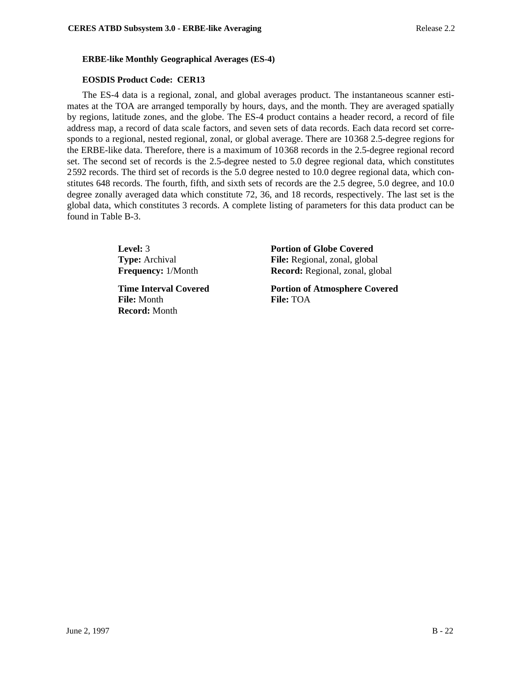## **ERBE-like Monthly Geographical Averages (ES-4)**

## **EOSDIS Product Code: CER13**

The ES-4 data is a regional, zonal, and global averages product. The instantaneous scanner estimates at the TOA are arranged temporally by hours, days, and the month. They are averaged spatially by regions, latitude zones, and the globe. The ES-4 product contains a header record, a record of file address map, a record of data scale factors, and seven sets of data records. Each data record set corresponds to a regional, nested regional, zonal, or global average. There are 10368 2.5-degree regions for the ERBE-like data. Therefore, there is a maximum of 10368 records in the 2.5-degree regional record set. The second set of records is the 2.5-degree nested to 5.0 degree regional data, which constitutes 2592 records. The third set of records is the 5.0 degree nested to 10.0 degree regional data, which constitutes 648 records. The fourth, fifth, and sixth sets of records are the 2.5 degree, 5.0 degree, and 10.0 degree zonally averaged data which constitute 72, 36, and 18 records, respectively. The last set is the global data, which constitutes 3 records. A complete listing of parameters for this data product can be found in Table B-3.

**File:** Month **File:** TOA **Record:** Month

**Level:** 3 **Portion of Globe Covered Type:** Archival **File:** Regional, zonal, global **Frequency:** 1/Month **Record:** Regional, zonal, global

**Time Interval Covered Portion of Atmosphere Covered**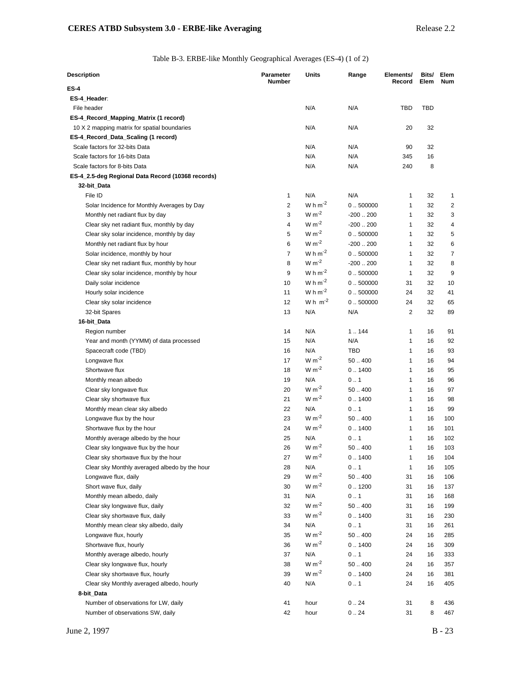Table B-3. ERBE-like Monthly Geographical Averages (ES-4) (1 of 2)

| Description                                       | Parameter<br><b>Number</b> | Units                 | Range      | Elements/<br>Record | Bits/<br>Elem | Elem<br><b>Num</b> |
|---------------------------------------------------|----------------------------|-----------------------|------------|---------------------|---------------|--------------------|
| ES-4                                              |                            |                       |            |                     |               |                    |
| ES-4_Header:                                      |                            |                       |            |                     |               |                    |
| File header                                       |                            | N/A                   | N/A        | TBD                 | <b>TBD</b>    |                    |
| ES-4_Record_Mapping_Matrix (1 record)             |                            |                       |            |                     |               |                    |
| 10 X 2 mapping matrix for spatial boundaries      |                            | N/A                   | N/A        | 20                  | 32            |                    |
| ES-4_Record_Data_Scaling (1 record)               |                            |                       |            |                     |               |                    |
| Scale factors for 32-bits Data                    |                            | N/A                   | N/A        | 90                  | 32            |                    |
| Scale factors for 16-bits Data                    |                            | N/A                   | N/A        | 345                 | 16            |                    |
| Scale factors for 8-bits Data                     |                            | N/A                   | N/A        | 240                 | 8             |                    |
| ES-4_2.5-deg Regional Data Record (10368 records) |                            |                       |            |                     |               |                    |
| 32-bit_Data                                       |                            |                       |            |                     |               |                    |
| File ID                                           | $\mathbf{1}$               | N/A                   | N/A        | 1                   | 32            | 1                  |
| Solar Incidence for Monthly Averages by Day       | $\overline{2}$             | W h $m^{-2}$          | 0.500000   | $\mathbf{1}$        | 32            | 2                  |
| Monthly net radiant flux by day                   | 3                          | $W m-2$               | $-200.200$ | $\mathbf{1}$        | 32            | 3                  |
| Clear sky net radiant flux, monthly by day        | 4                          | $W m-2$               | $-200.200$ | $\mathbf{1}$        | 32            | 4                  |
| Clear sky solar incidence, monthly by day         | 5                          | $W m-2$               | 0.500000   | $\mathbf{1}$        | 32            | 5                  |
| Monthly net radiant flux by hour                  | 6                          | $W m-2$               | $-200.200$ | 1                   | 32            | 6                  |
| Solar incidence, monthly by hour                  | 7                          | W h $m^{-2}$          | 0.500000   | 1                   | 32            | 7                  |
| Clear sky net radiant flux, monthly by hour       | 8                          | $W m-2$               | $-200200$  | $\mathbf{1}$        | 32            | 8                  |
| Clear sky solar incidence, monthly by hour        | 9                          | W h $m^{-2}$          | 0.500000   | $\mathbf{1}$        | 32            | 9                  |
| Daily solar incidence                             | 10                         | W $h$ m <sup>-2</sup> | 0.500000   | 31                  | 32            | 10                 |
| Hourly solar incidence                            | 11                         | W h $m^{-2}$          | 0.500000   | 24                  | 32            | 41                 |
| Clear sky solar incidence                         | 12                         | Wh $m^{-2}$           | 0.500000   | 24                  | 32            | 65                 |
| 32-bit Spares                                     | 13                         | N/A                   | N/A        | $\overline{2}$      | 32            | 89                 |
| 16-bit_Data                                       |                            |                       |            |                     |               |                    |
| Region number                                     | 14                         | N/A                   | 1.144      | $\mathbf{1}$        | 16            | 91                 |
| Year and month (YYMM) of data processed           | 15                         | N/A                   | N/A        | 1                   | 16            | 92                 |
| Spacecraft code (TBD)                             | 16                         | N/A                   | <b>TBD</b> | $\mathbf{1}$        | 16            | 93                 |
| Longwave flux                                     | 17                         | $W m^{-2}$            | 50.400     | $\mathbf{1}$        | 16            | 94                 |
| Shortwave flux                                    | 18                         | $W m-2$               | 0.1400     | $\mathbf{1}$        | 16            | 95                 |
| Monthly mean albedo                               | 19                         | N/A                   | 0.1        | $\mathbf{1}$        | 16            | 96                 |
| Clear sky longwave flux                           | 20                         | $W m-2$               | 50.400     | $\mathbf{1}$        | 16            | 97                 |
| Clear sky shortwave flux                          | 21                         | $W m^{-2}$            | 0.1400     | $\mathbf{1}$        | 16            | 98                 |
| Monthly mean clear sky albedo                     | 22                         | N/A                   | 0.1        | $\mathbf{1}$        | 16            | 99                 |
| Longwave flux by the hour                         | 23                         | $W m^{-2}$            | 50.400     | $\mathbf{1}$        | 16            | 100                |
| Shortwave flux by the hour                        | 24                         | $W m-2$               | 0.1400     | $\mathbf{1}$        | 16            | 101                |
| Monthly average albedo by the hour                | 25                         | N/A                   | 0.1        | 1                   | 16            | 102                |
| Clear sky longwave flux by the hour               | 26                         | $W m-2$               | 50400      | 1                   | 16            | 103                |
| Clear sky shortwave flux by the hour              | 27                         | $W m-2$               | 0.1400     | 1                   | 16            | 104                |
| Clear sky Monthly averaged albedo by the hour     | 28                         | N/A                   | 0.1        | $\mathbf{1}$        | 16            | 105                |
| Longwave flux, daily                              | 29                         | $W m-2$               | 50.400     | 31                  | 16            | 106                |
| Short wave flux, daily                            | 30                         | $W m^{-2}$            | 0.1200     | 31                  | 16            | 137                |
| Monthly mean albedo, daily                        | 31                         | N/A                   | 0.1        | 31                  | 16            | 168                |
| Clear sky longwave flux, daily                    | 32                         | $W m-2$               | 50.400     | 31                  | 16            | 199                |
| Clear sky shortwave flux, daily                   | 33                         | $W m-2$               | 0.1400     | 31                  | 16            | 230                |
| Monthly mean clear sky albedo, daily              | 34                         | N/A                   | 0.1        | 31                  | 16            | 261                |
| Longwave flux, hourly                             | 35                         | $W m-2$               | 50400      | 24                  | 16            | 285                |
| Shortwave flux, hourly                            | 36                         | $W m-2$               | 0.1400     | 24                  | 16            | 309                |
| Monthly average albedo, hourly                    | 37                         | N/A                   | 0.1        | 24                  | 16            | 333                |
| Clear sky longwave flux, hourly                   | 38                         | $W m-2$               | 50400      | 24                  | 16            | 357                |
| Clear sky shortwave flux, hourly                  | 39                         | $W m^{-2}$            | 0.1400     | 24                  | 16            | 381                |
| Clear sky Monthly averaged albedo, hourly         | 40                         | N/A                   | 0.1        | 24                  | 16            | 405                |
| 8-bit_Data                                        |                            |                       |            |                     |               |                    |
| Number of observations for LW, daily              | 41                         | hour                  | 0.24       | 31                  | 8             | 436                |
| Number of observations SW, daily                  | 42                         | hour                  | 0.24       | 31                  | 8             | 467                |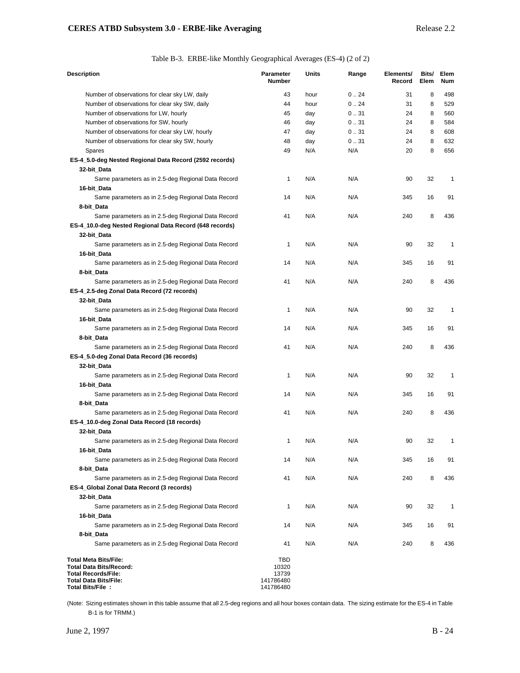Table B-3. ERBE-like Monthly Geographical Averages (ES-4) (2 of 2)

| <b>Description</b>                                               | <b>Parameter</b><br><b>Number</b> | <b>Units</b> | Range | Elements/<br>Record | Bits/<br>Elem | Elem<br><b>Num</b> |
|------------------------------------------------------------------|-----------------------------------|--------------|-------|---------------------|---------------|--------------------|
| Number of observations for clear sky LW, daily                   | 43                                | hour         | 0.24  | 31                  | 8             | 498                |
| Number of observations for clear sky SW, daily                   | 44                                | hour         | 0.24  | 31                  | 8             | 529                |
| Number of observations for LW, hourly                            | 45                                | day          | 0.31  | 24                  | 8             | 560                |
| Number of observations for SW, hourly                            | 46                                | day          | 0.31  | 24                  | 8             | 584                |
| Number of observations for clear sky LW, hourly                  | 47                                | day          | 0.31  | 24                  | 8             | 608                |
| Number of observations for clear sky SW, hourly                  | 48                                | day          | 0.31  | 24                  | 8             | 632                |
| <b>Spares</b>                                                    | 49                                | N/A          | N/A   | 20                  | 8             | 656                |
| ES-4_5.0-deg Nested Regional Data Record (2592 records)          |                                   |              |       |                     |               |                    |
| 32-bit Data                                                      |                                   |              |       |                     |               |                    |
| Same parameters as in 2.5-deg Regional Data Record               | 1                                 | N/A          | N/A   | 90                  | 32            | $\mathbf{1}$       |
| 16-bit_Data                                                      | 14                                | N/A          | N/A   | 345                 | 16            | 91                 |
| Same parameters as in 2.5-deg Regional Data Record<br>8-bit_Data |                                   |              |       |                     |               |                    |
| Same parameters as in 2.5-deg Regional Data Record               | 41                                | N/A          | N/A   | 240                 | 8             | 436                |
| ES-4_10.0-deg Nested Regional Data Record (648 records)          |                                   |              |       |                     |               |                    |
| 32-bit Data                                                      |                                   |              |       |                     |               |                    |
| Same parameters as in 2.5-deg Regional Data Record               | 1                                 | N/A          | N/A   | 90                  | 32            | $\mathbf{1}$       |
| 16-bit_Data                                                      |                                   |              |       |                     |               |                    |
| Same parameters as in 2.5-deg Regional Data Record               | 14                                | N/A          | N/A   | 345                 | 16            | 91                 |
| 8-bit_Data                                                       |                                   |              |       |                     |               |                    |
| Same parameters as in 2.5-deg Regional Data Record               | 41                                | N/A          | N/A   | 240                 | 8             | 436                |
| ES-4_2.5-deg Zonal Data Record (72 records)                      |                                   |              |       |                     |               |                    |
| 32-bit_Data                                                      |                                   |              |       |                     |               |                    |
| Same parameters as in 2.5-deg Regional Data Record               | 1                                 | N/A          | N/A   | 90                  | 32            | $\mathbf{1}$       |
| 16-bit_Data                                                      |                                   |              |       |                     |               |                    |
| Same parameters as in 2.5-deg Regional Data Record               | 14                                | N/A          | N/A   | 345                 | 16            | 91                 |
| 8-bit_Data                                                       |                                   |              |       |                     |               |                    |
| Same parameters as in 2.5-deg Regional Data Record               | 41                                | N/A          | N/A   | 240                 | 8             | 436                |
| ES-4_5.0-deg Zonal Data Record (36 records)                      |                                   |              |       |                     |               |                    |
| 32-bit_Data                                                      |                                   |              |       |                     |               |                    |
| Same parameters as in 2.5-deg Regional Data Record               | 1                                 | N/A          | N/A   | 90                  | 32            | $\mathbf{1}$       |
| 16-bit_Data                                                      |                                   |              |       |                     |               |                    |
| Same parameters as in 2.5-deg Regional Data Record               | 14                                | N/A          | N/A   | 345                 | 16            | 91                 |
| 8-bit_Data<br>Same parameters as in 2.5-deg Regional Data Record | 41                                | N/A          | N/A   | 240                 | 8             | 436                |
| ES-4_10.0-deg Zonal Data Record (18 records)                     |                                   |              |       |                     |               |                    |
| 32-bit_Data                                                      |                                   |              |       |                     |               |                    |
| Same parameters as in 2.5-deg Regional Data Record               | 1                                 | N/A          | N/A   | 90                  | 32            | 1                  |
| 16-bit_Data                                                      |                                   |              |       |                     |               |                    |
| Same parameters as in 2.5-deg Regional Data Record               | 14                                | N/A          | N/A   | 345                 | 16            | 91                 |
| 8-bit_Data                                                       |                                   |              |       |                     |               |                    |
| Same parameters as in 2.5-deg Regional Data Record               | 41                                | N/A          | N/A   | 240                 | 8             | 436                |
| ES-4 Global Zonal Data Record (3 records)                        |                                   |              |       |                     |               |                    |
| 32-bit_Data                                                      |                                   |              |       |                     |               |                    |
| Same parameters as in 2.5-deg Regional Data Record               | 1                                 | N/A          | N/A   | 90                  | 32            | 1                  |
| 16-bit_Data                                                      |                                   |              |       |                     |               |                    |
| Same parameters as in 2.5-deg Regional Data Record               | 14                                | N/A          | N/A   | 345                 | 16            | 91                 |
| 8-bit Data                                                       |                                   |              |       |                     |               |                    |
| Same parameters as in 2.5-deg Regional Data Record               | 41                                | N/A          | N/A   | 240                 | 8             | 436                |
| <b>Total Meta Bits/File:</b>                                     | TBD                               |              |       |                     |               |                    |
| Total Data Bits/Record:                                          | 10320                             |              |       |                     |               |                    |
| <b>Total Records/File:</b><br><b>Total Data Bits/File:</b>       | 13739<br>141786480                |              |       |                     |               |                    |
| Total Bits/File:                                                 | 141786480                         |              |       |                     |               |                    |

(Note: Sizing estimates shown in this table assume that all 2.5-deg regions and all hour boxes contain data. The sizing estimate for the ES-4 in Table B-1 is for TRMM.)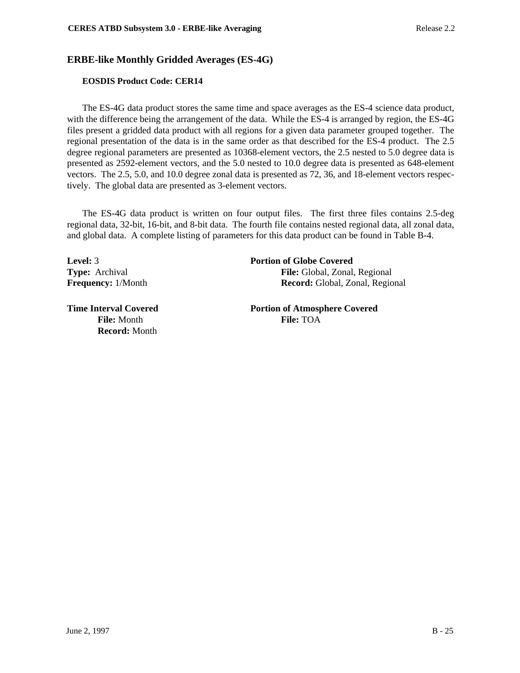# **ERBE-like Monthly Gridded Averages (ES-4G)**

## **EOSDIS Product Code: CER14**

The ES-4G data product stores the same time and space averages as the ES-4 science data product, with the difference being the arrangement of the data. While the ES-4 is arranged by region, the ES-4G files present a gridded data product with all regions for a given data parameter grouped together. The regional presentation of the data is in the same order as that described for the ES-4 product. The 2.5 degree regional parameters are presented as 10368-element vectors, the 2.5 nested to 5.0 degree data is presented as 2592-element vectors, and the 5.0 nested to 10.0 degree data is presented as 648-element vectors. The 2.5, 5.0, and 10.0 degree zonal data is presented as 72, 36, and 18-element vectors respectively. The global data are presented as 3-element vectors.

The ES-4G data product is written on four output files. The first three files contains 2.5-deg regional data, 32-bit, 16-bit, and 8-bit data. The fourth file contains nested regional data, all zonal data, and global data. A complete listing of parameters for this data product can be found in Table B-4.

**Record:** Month

**Level:** 3 **Portion of Globe Covered**

**Type:** Archival **File:** Global, Zonal, Regional **Frequency:** 1/Month **Record:** Global, Zonal, Regional

**Time Interval Covered 2008 Portion of Atmosphere Covered File:** Month **File:** TOA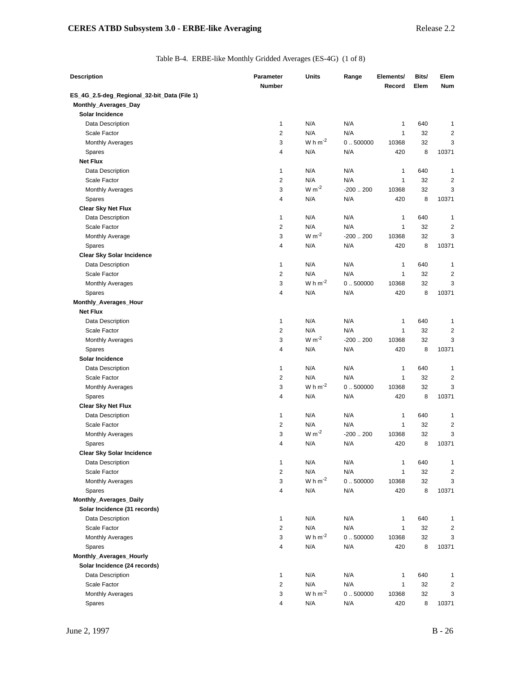|  | Table B-4. ERBE-like Monthly Gridded Averages (ES-4G) (1 of 8) |  |  |
|--|----------------------------------------------------------------|--|--|
|  |                                                                |  |  |

| <b>Description</b>                          | <b>Parameter</b> | <b>Units</b> | Range      | Elements/    | Bits/ | Elem           |
|---------------------------------------------|------------------|--------------|------------|--------------|-------|----------------|
|                                             | <b>Number</b>    |              |            | Record       | Elem  | Num            |
| ES_4G_2.5-deg_Regional_32-bit_Data (File 1) |                  |              |            |              |       |                |
| Monthly_Averages_Day                        |                  |              |            |              |       |                |
| Solar Incidence                             |                  |              |            |              |       |                |
| Data Description                            | 1                | N/A          | N/A        | 1            | 640   | 1              |
| Scale Factor                                | $\overline{2}$   | N/A          | N/A        | $\mathbf{1}$ | 32    | $\overline{2}$ |
| <b>Monthly Averages</b>                     | 3                | W h $m^{-2}$ | 0.500000   | 10368        | 32    | 3              |
| Spares                                      | 4                | N/A          | N/A        | 420          | 8     | 10371          |
| <b>Net Flux</b>                             |                  |              |            |              |       |                |
| Data Description                            | 1                | N/A          | N/A        | 1            | 640   | 1              |
| Scale Factor                                | $\overline{2}$   | N/A          | N/A        | $\mathbf{1}$ | 32    | 2              |
| <b>Monthly Averages</b>                     | 3                | $W m-2$      | $-200.200$ | 10368        | 32    | 3              |
| Spares                                      | 4                | N/A          | N/A        | 420          | 8     | 10371          |
| <b>Clear Sky Net Flux</b>                   |                  |              |            |              |       |                |
| Data Description                            | 1                | N/A          | N/A        | 1            | 640   | 1              |
| Scale Factor                                | $\overline{2}$   | N/A          | N/A        | $\mathbf{1}$ | 32    | $\overline{2}$ |
| Monthly Average                             | 3                | $W m^{-2}$   | $-200.200$ | 10368        | 32    | 3              |
| Spares                                      | 4                | N/A          | N/A        | 420          | 8     | 10371          |
| <b>Clear Sky Solar Incidence</b>            |                  |              |            |              |       |                |
| Data Description                            | 1                | N/A          | N/A        | 1            | 640   | 1              |
| Scale Factor                                | $\overline{c}$   | N/A          | N/A        | $\mathbf{1}$ | 32    | 2              |
| <b>Monthly Averages</b>                     | 3                | W h $m^{-2}$ | 0.500000   | 10368        | 32    | 3              |
| Spares                                      | 4                | N/A          | N/A        | 420          | 8     | 10371          |
| Monthly_Averages_Hour                       |                  |              |            |              |       |                |
| <b>Net Flux</b>                             |                  |              |            |              |       |                |
| Data Description                            | 1                | N/A          | N/A        | 1            | 640   | 1              |
| Scale Factor                                | $\overline{c}$   | N/A          | N/A        | $\mathbf{1}$ | 32    | $\overline{2}$ |
| <b>Monthly Averages</b>                     | 3                | $W m^{-2}$   | $-200.200$ | 10368        | 32    | 3              |
| Spares                                      | 4                | N/A          | N/A        | 420          | 8     | 10371          |
| Solar Incidence                             |                  |              |            |              |       |                |
| Data Description                            | 1                | N/A          | N/A        | 1            | 640   | 1              |
| Scale Factor                                | $\overline{2}$   | N/A          | N/A        | $\mathbf{1}$ | 32    | $\overline{2}$ |
| <b>Monthly Averages</b>                     | 3                | W h $m^{-2}$ | 0.500000   | 10368        | 32    | 3              |
| Spares                                      | 4                | N/A          | N/A        | 420          | 8     | 10371          |
| <b>Clear Sky Net Flux</b>                   |                  |              |            |              |       |                |
| Data Description                            | 1                | N/A          | N/A        | 1            | 640   | 1              |
| Scale Factor                                | 2                | N/A          | N/A        | 1            | 32    | 2              |
| <b>Monthly Averages</b>                     | 3                | $W m^{-2}$   | $-200.200$ | 10368        | 32    | 3              |
| <b>Spares</b>                               | 4                | N/A          | N/A        | 420          | 8     | 10371          |
| Clear Sky Solar Incidence                   |                  |              |            |              |       |                |
| Data Description                            | 1                | N/A          | N/A        | $\mathbf{1}$ | 640   | 1              |
| Scale Factor                                | $\overline{2}$   | N/A          | N/A        | $\mathbf{1}$ | 32    | 2              |
| <b>Monthly Averages</b>                     | 3                | W h $m^{-2}$ | 0.500000   | 10368        | 32    | 3              |
| Spares                                      | 4                | N/A          | N/A        | 420          | 8     | 10371          |
| Monthly_Averages_Daily                      |                  |              |            |              |       |                |
| Solar Incidence (31 records)                |                  |              |            |              |       |                |
| Data Description                            | $\mathbf{1}$     | N/A          | N/A        | $\mathbf{1}$ | 640   | 1              |
| Scale Factor                                | $\overline{2}$   | N/A          | N/A        | $\mathbf{1}$ | 32    | 2              |
| <b>Monthly Averages</b>                     | 3                | W h $m^{-2}$ | 0.500000   | 10368        | 32    | 3              |
| Spares                                      | 4                | N/A          | N/A        | 420          | 8     | 10371          |
| Monthly_Averages_Hourly                     |                  |              |            |              |       |                |
| Solar Incidence (24 records)                |                  |              |            |              |       |                |
| Data Description                            | $\mathbf{1}$     | N/A          | N/A        | $\mathbf{1}$ | 640   | 1              |
| Scale Factor                                | $\overline{c}$   | N/A          | N/A        | 1            | 32    | 2              |
| Monthly Averages                            | 3                | W h $m^{-2}$ | 0.500000   | 10368        | 32    | 3              |
| Spares                                      | 4                | N/A          | N/A        | 420          | 8     | 10371          |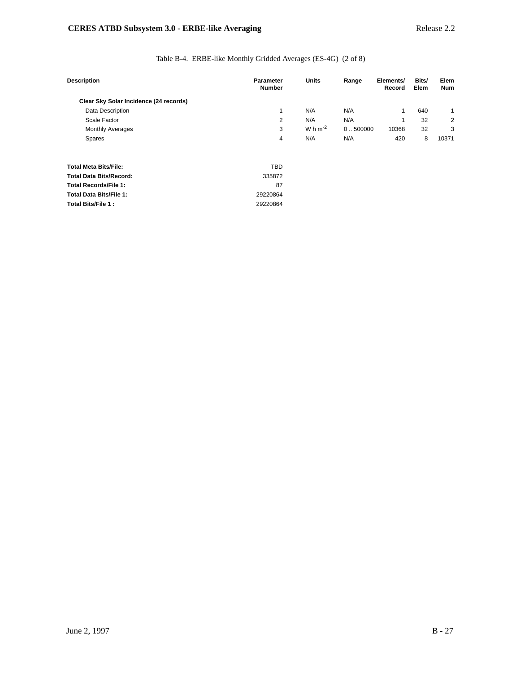## Table B-4. ERBE-like Monthly Gridded Averages (ES-4G) (2 of 8)

| <b>Description</b>                     | <b>Parameter</b><br><b>Number</b> | <b>Units</b> | Range    | Elements/<br>Record | Bits/<br>Elem | Elem<br><b>Num</b> |
|----------------------------------------|-----------------------------------|--------------|----------|---------------------|---------------|--------------------|
| Clear Sky Solar Incidence (24 records) |                                   |              |          |                     |               |                    |
| <b>Data Description</b>                |                                   | N/A          | N/A      | 1                   | 640           |                    |
| Scale Factor                           | 2                                 | N/A          | N/A      | 1                   | 32            | 2                  |
| <b>Monthly Averages</b>                | 3                                 | W h $m^{-2}$ | 0.500000 | 10368               | 32            | 3                  |
| Spares                                 | 4                                 | N/A          | N/A      | 420                 | 8             | 10371              |
| <b>Total Meta Bits/File:</b>           | <b>TBD</b>                        |              |          |                     |               |                    |
| <b>Total Data Bits/Record:</b>         | 335872                            |              |          |                     |               |                    |
| <b>Total Records/File 1:</b>           | 87                                |              |          |                     |               |                    |
| <b>Total Data Bits/File 1:</b>         | 29220864                          |              |          |                     |               |                    |
| <b>Total Bits/File 1:</b>              | 29220864                          |              |          |                     |               |                    |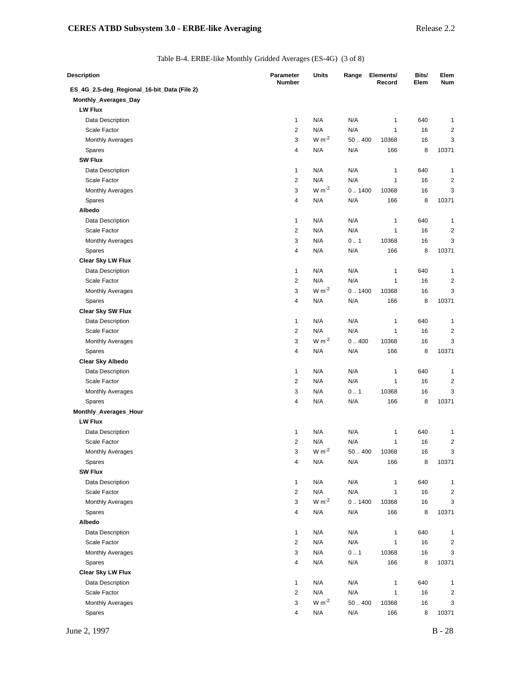Table B-4. ERBE-like Monthly Gridded Averages (ES-4G) (3 of 8)

| Description                                 | <b>Parameter</b><br><b>Number</b> | Units                  | Range       | Elements/<br>Record | Bits/<br>Elem | Elem<br><b>Num</b>      |
|---------------------------------------------|-----------------------------------|------------------------|-------------|---------------------|---------------|-------------------------|
| ES_4G_2.5-deg_Regional_16-bit_Data (File 2) |                                   |                        |             |                     |               |                         |
| Monthly_Averages_Day                        |                                   |                        |             |                     |               |                         |
| <b>LW Flux</b>                              |                                   |                        |             |                     |               |                         |
| Data Description                            | 1                                 | N/A                    | N/A         | 1                   | 640           | 1                       |
| Scale Factor                                | $\overline{2}$                    | N/A                    | N/A         | 1                   | 16            | 2                       |
| <b>Monthly Averages</b>                     | 3                                 | $W m-2$                | 50.400      | 10368               | 16            | 3                       |
| Spares                                      | 4                                 | N/A                    | N/A         | 166                 | 8             | 10371                   |
| <b>SW Flux</b>                              |                                   |                        |             |                     |               |                         |
| Data Description                            | 1                                 | N/A                    | N/A         | 1                   | 640           | 1                       |
| Scale Factor                                | $\overline{2}$                    | N/A                    | N/A         | 1                   | 16            | $\overline{\mathbf{c}}$ |
| <b>Monthly Averages</b>                     | 3                                 | $W m-2$                | 0.1400      | 10368               | 16            | 3                       |
| Spares                                      | 4                                 | N/A                    | N/A         | 166                 | 8             | 10371                   |
| Albedo                                      |                                   |                        |             |                     |               |                         |
| Data Description                            | 1                                 | N/A                    | N/A         | 1                   | 640           | 1                       |
| Scale Factor                                | $\overline{2}$                    | N/A                    | N/A         | 1                   | 16            | $\overline{\mathbf{c}}$ |
| <b>Monthly Averages</b>                     | 3                                 | N/A                    | 0.1         | 10368               | 16            | 3                       |
| Spares                                      | $\overline{4}$                    | N/A                    | N/A         | 166                 | 8             | 10371                   |
| <b>Clear Sky LW Flux</b>                    |                                   |                        |             |                     |               |                         |
| Data Description                            | 1                                 | N/A                    | N/A         | 1                   | 640           | 1                       |
| Scale Factor                                | 2                                 | N/A                    | N/A         | 1                   | 16            | 2                       |
| <b>Monthly Averages</b>                     | 3                                 | $W m-2$                | 0.1400      | 10368               | 16            | 3                       |
| Spares                                      | 4                                 | N/A                    | N/A         | 166                 | 8             | 10371                   |
| Clear Sky SW Flux                           |                                   |                        |             |                     |               |                         |
| Data Description                            | $\mathbf{1}$                      | N/A                    | N/A         | 1                   | 640           | 1                       |
| Scale Factor                                | $\overline{2}$                    | N/A                    | N/A         | $\mathbf{1}$        | 16            | $\overline{\mathbf{c}}$ |
| <b>Monthly Averages</b>                     | 3                                 | $W m-2$                | 0.400       | 10368               | 16            | 3                       |
| Spares                                      | $\overline{4}$                    | N/A                    | N/A         | 166                 | 8             | 10371                   |
| <b>Clear Sky Albedo</b>                     |                                   |                        |             |                     |               |                         |
| Data Description                            | 1                                 | N/A                    | N/A         | 1                   | 640           | 1                       |
| Scale Factor                                | $\overline{c}$                    | N/A                    | N/A         | 1                   | 16            | $\overline{\mathbf{c}}$ |
| <b>Monthly Averages</b>                     | 3                                 | N/A                    | 0.1         | 10368               | 16            | 3                       |
| Spares                                      | 4                                 | N/A                    | N/A         | 166                 | 8             | 10371                   |
| Monthly_Averages_Hour                       |                                   |                        |             |                     |               |                         |
| <b>LW Flux</b>                              |                                   |                        |             |                     |               |                         |
| Data Description                            | 1                                 | N/A                    | N/A         | 1                   | 640           | 1                       |
| Scale Factor                                | $\overline{c}$                    | N/A                    | N/A         | 1                   | 16            | 2                       |
| Monthly Averages                            | 3                                 | $\rm W\,m^{\text{-}2}$ | $50\,\,400$ | 10368               | 16            | 3                       |
| Spares                                      | 4                                 | N/A                    | N/A         | 166                 | 8             | 10371                   |
| <b>SW Flux</b>                              |                                   |                        |             |                     |               |                         |
| Data Description                            | 1                                 | N/A                    | N/A         | 1                   | 640           | 1                       |
| Scale Factor                                | $\mathbf{2}$                      | N/A                    | N/A         | 1                   | 16            | 2                       |
| Monthly Averages                            | 3                                 | $W m^{-2}$             | 0.1400      | 10368               | 16            | 3                       |
| Spares                                      | 4                                 | N/A                    | N/A         | 166                 | 8             | 10371                   |
| Albedo                                      |                                   |                        |             |                     |               |                         |
| Data Description                            | 1                                 | N/A                    | N/A         | 1                   | 640           | 1                       |
| Scale Factor                                | $\overline{2}$                    | N/A                    | N/A         | 1                   | 16            | 2                       |
| <b>Monthly Averages</b>                     | 3                                 | N/A                    | 0.1         | 10368               | 16            | 3                       |
| Spares                                      | 4                                 | N/A                    | N/A         | 166                 | 8             | 10371                   |
| Clear Sky LW Flux                           |                                   |                        |             |                     |               |                         |
| Data Description                            | 1                                 | N/A                    | N/A         | 1                   | 640           | 1                       |
| Scale Factor                                | $\overline{2}$                    | N/A                    | N/A         | 1                   | 16            | 2                       |
| Monthly Averages                            | 3                                 | $W m-2$                | 50400       | 10368               | 16            | 3                       |
|                                             | 4                                 | N/A                    | N/A         | 166                 | 8             | 10371                   |
| Spares                                      |                                   |                        |             |                     |               |                         |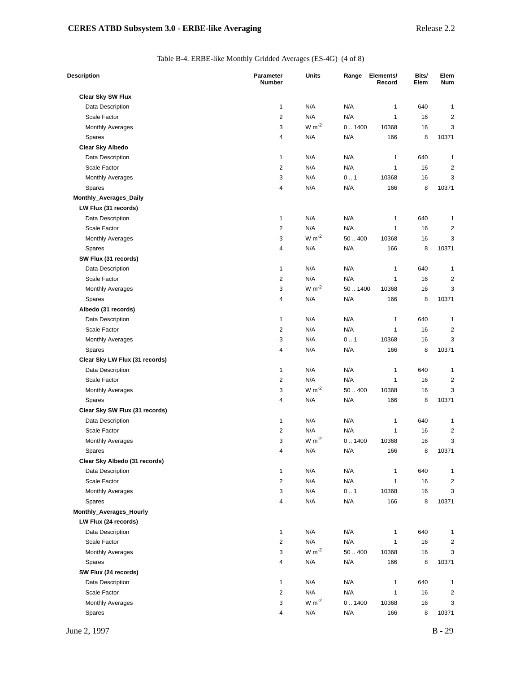Table B-4. ERBE-like Monthly Gridded Averages (ES-4G) (4 of 8)

| <b>Description</b>             | <b>Parameter</b><br><b>Number</b> | <b>Units</b> | Range  | Elements/<br>Record | Bits/<br>Elem | Elem<br>Num             |
|--------------------------------|-----------------------------------|--------------|--------|---------------------|---------------|-------------------------|
| Clear Sky SW Flux              |                                   |              |        |                     |               |                         |
| Data Description               | $\mathbf{1}$                      | N/A          | N/A    | 1                   | 640           | 1                       |
| Scale Factor                   | 2                                 | N/A          | N/A    | 1                   | 16            | 2                       |
| <b>Monthly Averages</b>        | 3                                 | $W m-2$      | 0.1400 | 10368               | 16            | 3                       |
| Spares                         | 4                                 | N/A          | N/A    | 166                 | 8             | 10371                   |
| <b>Clear Sky Albedo</b>        |                                   |              |        |                     |               |                         |
| Data Description               | 1                                 | N/A          | N/A    | 1                   | 640           | $\mathbf{1}$            |
| Scale Factor                   | 2                                 | N/A          | N/A    | 1                   | 16            | 2                       |
| <b>Monthly Averages</b>        | 3                                 | N/A          | 0.1    | 10368               | 16            | 3                       |
| Spares                         | 4                                 | N/A          | N/A    | 166                 | 8             | 10371                   |
| Monthly_Averages_Daily         |                                   |              |        |                     |               |                         |
| LW Flux (31 records)           |                                   |              |        |                     |               |                         |
| Data Description               | $\mathbf{1}$                      | N/A          | N/A    | 1                   | 640           | 1                       |
| Scale Factor                   | $\overline{\mathbf{c}}$           | N/A          | N/A    | 1                   | 16            | $\overline{\mathbf{c}}$ |
| <b>Monthly Averages</b>        | 3                                 | $W m-2$      | 50.400 | 10368               | 16            | 3                       |
| Spares                         | 4                                 | N/A          | N/A    | 166                 | 8             | 10371                   |
| SW Flux (31 records)           |                                   |              |        |                     |               |                         |
| Data Description               | 1                                 | N/A          | N/A    | 1                   | 640           | 1                       |
| Scale Factor                   | 2                                 | N/A          | N/A    | 1                   | 16            | 2                       |
| <b>Monthly Averages</b>        | 3                                 | $W m-2$      | 501400 | 10368               | 16            | 3                       |
| Spares                         | 4                                 | N/A          | N/A    | 166                 | 8             | 10371                   |
| Albedo (31 records)            |                                   |              |        |                     |               |                         |
| Data Description               | $\mathbf{1}$                      | N/A          | N/A    | 1                   | 640           | 1                       |
| Scale Factor                   | 2                                 | N/A          | N/A    | 1                   | 16            | 2                       |
| <b>Monthly Averages</b>        | 3                                 | N/A          | 0.1    | 10368               | 16            | 3                       |
| Spares                         | 4                                 | N/A          | N/A    | 166                 | 8             | 10371                   |
| Clear Sky LW Flux (31 records) |                                   |              |        |                     |               |                         |
| Data Description               | 1                                 | N/A          | N/A    | 1                   | 640           | 1                       |
| Scale Factor                   | 2                                 | N/A          | N/A    | 1                   | 16            | 2                       |
| <b>Monthly Averages</b>        | 3                                 | $W m-2$      | 50.400 | 10368               | 16            | 3                       |
| Spares                         | 4                                 | N/A          | N/A    | 166                 | 8             | 10371                   |
| Clear Sky SW Flux (31 records) |                                   |              |        |                     |               |                         |
| Data Description               | 1                                 | N/A          | N/A    | 1                   | 640           | 1                       |
| Scale Factor                   | 2                                 | N/A          | N/A    | 1                   | 16            | $\overline{2}$          |
| <b>Monthly Averages</b>        | 3                                 | $W m-2$      | 0.1400 | 10368               | 16            | 3                       |
| Spares                         | 4                                 | N/A          | N/A    | 166                 | 8             | 10371                   |
| Clear Sky Albedo (31 records)  |                                   |              |        |                     |               |                         |
| Data Description               | 1                                 | N/A          | N/A    | 1                   | 640           | 1                       |
| Scale Factor                   | $\overline{c}$                    | N/A          | N/A    | 1                   | 16            | 2                       |
| Monthly Averages               | 3                                 | N/A          | 0.1    | 10368               | 16            | 3                       |
| Spares                         | 4                                 | N/A          | N/A    | 166                 | 8             | 10371                   |
| Monthly_Averages_Hourly        |                                   |              |        |                     |               |                         |
| LW Flux (24 records)           |                                   |              |        |                     |               |                         |
| Data Description               | 1                                 | N/A          | N/A    | 1                   | 640           | 1                       |
| Scale Factor                   | 2                                 | N/A          | N/A    | 1                   | 16            | 2                       |
| <b>Monthly Averages</b>        | 3                                 | $W m-2$      | 50.400 | 10368               | 16            | 3                       |
| Spares                         | 4                                 | N/A          | N/A    | 166                 | 8             | 10371                   |
| SW Flux (24 records)           |                                   |              |        |                     |               |                         |
| Data Description               | $\mathbf{1}$                      | N/A          | N/A    | 1                   | 640           | 1                       |
| Scale Factor                   | 2                                 | N/A          | N/A    | 1                   | 16            | 2                       |
| <b>Monthly Averages</b>        | 3                                 | $W m-2$      | 0.1400 | 10368               | 16            | 3                       |
| Spares                         | 4                                 | N/A          | N/A    | 166                 | 8             | 10371                   |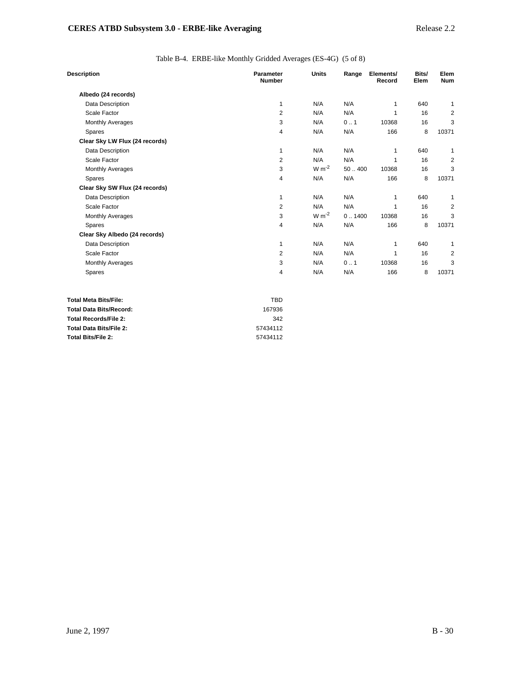Table B-4. ERBE-like Monthly Gridded Averages (ES-4G) (5 of 8)

| <b>Description</b>             | Parameter<br><b>Number</b> | <b>Units</b> | Range  | Elements/<br>Record | Bits/<br>Elem | Elem<br><b>Num</b> |
|--------------------------------|----------------------------|--------------|--------|---------------------|---------------|--------------------|
| Albedo (24 records)            |                            |              |        |                     |               |                    |
| Data Description               | 1                          | N/A          | N/A    | 1                   | 640           | 1                  |
| Scale Factor                   | $\overline{2}$             | N/A          | N/A    | 1                   | 16            | 2                  |
| <b>Monthly Averages</b>        | 3                          | N/A          | 0.1    | 10368               | 16            | 3                  |
| Spares                         | 4                          | N/A          | N/A    | 166                 | 8             | 10371              |
| Clear Sky LW Flux (24 records) |                            |              |        |                     |               |                    |
| Data Description               | 1                          | N/A          | N/A    | 1                   | 640           | 1                  |
| Scale Factor                   | $\overline{2}$             | N/A          | N/A    | 1                   | 16            | 2                  |
| <b>Monthly Averages</b>        | 3                          | $W m^{-2}$   | 50.400 | 10368               | 16            | 3                  |
| Spares                         | 4                          | N/A          | N/A    | 166                 | 8             | 10371              |
| Clear Sky SW Flux (24 records) |                            |              |        |                     |               |                    |
| Data Description               | 1                          | N/A          | N/A    | 1                   | 640           | 1                  |
| Scale Factor                   | 2                          | N/A          | N/A    | 1                   | 16            | 2                  |
| <b>Monthly Averages</b>        | 3                          | $W m-2$      | 0.1400 | 10368               | 16            | 3                  |
| Spares                         | 4                          | N/A          | N/A    | 166                 | 8             | 10371              |
| Clear Sky Albedo (24 records)  |                            |              |        |                     |               |                    |
| Data Description               | 1                          | N/A          | N/A    | 1                   | 640           | 1                  |
| Scale Factor                   | 2                          | N/A          | N/A    | 1                   | 16            | 2                  |
| <b>Monthly Averages</b>        | 3                          | N/A          | 0.1    | 10368               | 16            | 3                  |
| Spares                         | 4                          | N/A          | N/A    | 166                 | 8             | 10371              |
| <b>Total Meta Bits/File:</b>   | <b>TBD</b>                 |              |        |                     |               |                    |
| <b>Total Data Bits/Record:</b> | 167936                     |              |        |                     |               |                    |
| <b>Total Records/File 2:</b>   | 342                        |              |        |                     |               |                    |

| <b>Total Bits/File 2:</b> | 57434112 |
|---------------------------|----------|
|                           |          |
|                           |          |
|                           |          |

**Total Data Bits/File 2:** 57434112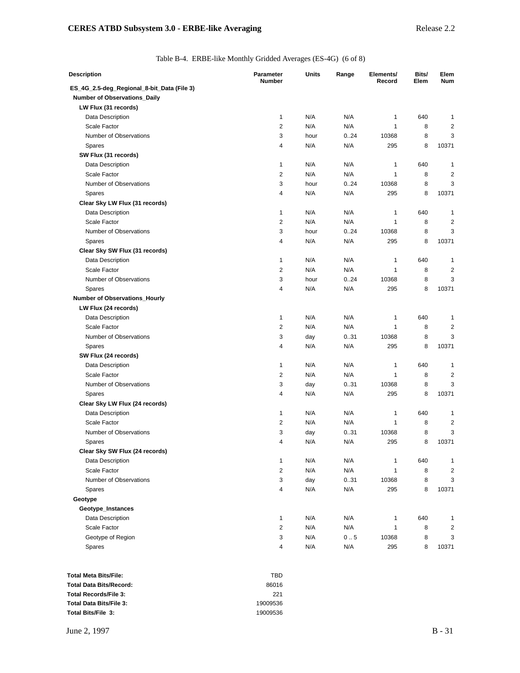Table B-4. ERBE-like Monthly Gridded Averages (ES-4G) (6 of 8)

| Description                                | <b>Parameter</b><br><b>Number</b> | Units | Range | Elements/<br>Record | Bits/<br>Elem | Elem<br><b>Num</b> |
|--------------------------------------------|-----------------------------------|-------|-------|---------------------|---------------|--------------------|
| ES_4G_2.5-deg_Regional_8-bit_Data (File 3) |                                   |       |       |                     |               |                    |
| Number of Observations_Daily               |                                   |       |       |                     |               |                    |
| LW Flux (31 records)                       |                                   |       |       |                     |               |                    |
| Data Description                           | 1                                 | N/A   | N/A   | 1                   | 640           | 1                  |
| Scale Factor                               | 2                                 | N/A   | N/A   | 1                   | 8             | $\overline{2}$     |
| Number of Observations                     | 3                                 | hour  | 0.24  | 10368               | 8             | 3                  |
| Spares                                     | 4                                 | N/A   | N/A   | 295                 | 8             | 10371              |
| SW Flux (31 records)                       |                                   |       |       |                     |               |                    |
| Data Description                           | 1                                 | N/A   | N/A   | 1                   | 640           | 1                  |
| Scale Factor                               | $\overline{2}$                    | N/A   | N/A   | 1                   | 8             | $\overline{2}$     |
| Number of Observations                     | 3                                 | hour  | 0.24  | 10368               | 8             | 3                  |
| Spares                                     | 4                                 | N/A   | N/A   | 295                 | 8             | 10371              |
| Clear Sky LW Flux (31 records)             |                                   |       |       |                     |               |                    |
| Data Description                           | 1                                 | N/A   | N/A   | 1                   | 640           | 1                  |
| Scale Factor                               | $\overline{2}$                    | N/A   | N/A   | 1                   | 8             | $\overline{2}$     |
| Number of Observations                     | 3                                 | hour  | 0.24  | 10368               | 8             | 3                  |
| Spares                                     | 4                                 | N/A   | N/A   | 295                 | 8             | 10371              |
| Clear Sky SW Flux (31 records)             |                                   |       |       |                     |               |                    |
| Data Description                           | 1                                 | N/A   | N/A   | 1                   | 640           | 1                  |
| Scale Factor                               | $\overline{2}$                    | N/A   | N/A   | 1                   | 8             | 2                  |
| Number of Observations                     | 3                                 | hour  | 0.24  | 10368               | 8             | 3                  |
| Spares                                     | 4                                 | N/A   | N/A   | 295                 | 8             | 10371              |
| Number of Observations_Hourly              |                                   |       |       |                     |               |                    |
| LW Flux (24 records)                       |                                   |       |       |                     |               |                    |
| Data Description                           | 1                                 | N/A   | N/A   | 1                   | 640           | $\mathbf{1}$       |
| Scale Factor                               | $\overline{c}$                    | N/A   | N/A   | 1                   | 8             | $\overline{2}$     |
| Number of Observations                     | 3                                 | day   | 0.31  | 10368               | 8             | 3                  |
| <b>Spares</b>                              | 4                                 | N/A   | N/A   | 295                 | 8             | 10371              |
| SW Flux (24 records)                       |                                   |       |       |                     |               |                    |
| Data Description                           | 1                                 | N/A   | N/A   | 1                   | 640           | 1                  |
| Scale Factor                               | $\overline{c}$                    | N/A   | N/A   | 1                   | 8             | 2                  |
| Number of Observations                     | 3                                 | day   | 0.31  | 10368               | 8             | 3                  |
| <b>Spares</b>                              | 4                                 | N/A   | N/A   | 295                 | 8             | 10371              |
| Clear Sky LW Flux (24 records)             |                                   |       |       |                     |               |                    |
| Data Description                           | 1                                 | N/A   | N/A   | 1                   | 640           | 1                  |
| Scale Factor                               | $\overline{c}$                    | N/A   | N/A   | 1                   | 8             | 2                  |
| Number of Observations                     | 3                                 | day   | 0.31  | 10368               | 8             | 3                  |
| Spares                                     | 4                                 | N/A   | N/A   | 295                 | 8             | 10371              |
| Clear Sky SW Flux (24 records)             |                                   |       |       |                     |               |                    |
| Data Description                           | 1                                 | N/A   | N/A   | 1                   | 640           | 1                  |
| Scale Factor                               | $\overline{2}$                    | N/A   | N/A   | 1                   | 8             | $\overline{2}$     |
| Number of Observations                     | 3                                 | day   | 0.31  | 10368               | 8             | 3                  |
| Spares                                     | 4                                 | N/A   | N/A   | 295                 | 8             | 10371              |
| Geotype                                    |                                   |       |       |                     |               |                    |
| Geotype_Instances                          |                                   |       |       |                     |               |                    |
| Data Description                           | 1                                 | N/A   | N/A   | 1                   | 640           | 1                  |
| Scale Factor                               | 2                                 | N/A   | N/A   | 1                   | 8             | 2                  |
| Geotype of Region                          | 3                                 | N/A   | 0.5   | 10368               | 8             | 3                  |
| Spares                                     | 4                                 | N/A   | N/A   | 295                 | 8             | 10371              |
|                                            |                                   |       |       |                     |               |                    |
|                                            |                                   |       |       |                     |               |                    |

| Total Meta Bits/File:   | TRD      |
|-------------------------|----------|
| Total Data Bits/Record: | 86016    |
| Total Records/File 3:   | 221      |
| Total Data Bits/File 3: | 19009536 |
| Total Bits/File 3:      | 19009536 |
|                         |          |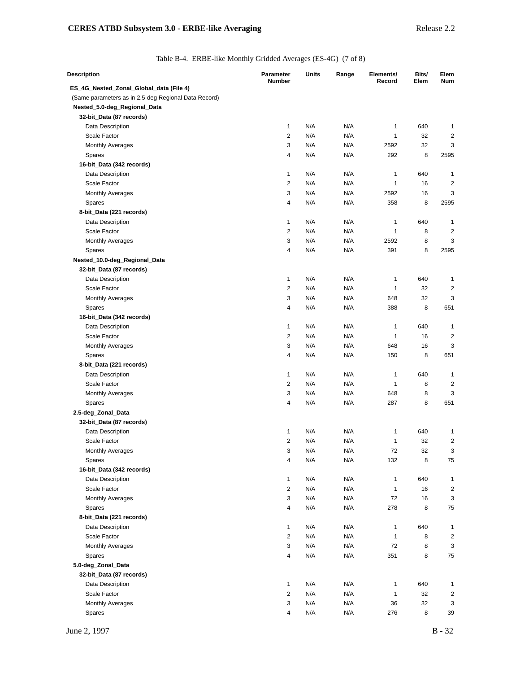Table B-4. ERBE-like Monthly Gridded Averages (ES-4G) (7 of 8)

| <b>Description</b>                                   | Parameter<br><b>Number</b> | Units                   | Range      | Elements/<br>Record | Bits/<br>Elem | Elem<br><b>Num</b>      |
|------------------------------------------------------|----------------------------|-------------------------|------------|---------------------|---------------|-------------------------|
| ES_4G_Nested_Zonal_Global_data (File 4)              |                            |                         |            |                     |               |                         |
| (Same parameters as in 2.5-deg Regional Data Record) |                            |                         |            |                     |               |                         |
| Nested_5.0-deg_Regional_Data                         |                            |                         |            |                     |               |                         |
| 32-bit_Data (87 records)                             |                            |                         |            |                     |               |                         |
| Data Description                                     | $\mathbf{1}$               | N/A                     | N/A        | 1                   | 640           | 1                       |
| Scale Factor                                         | $\overline{2}$             | N/A                     | N/A        | $\mathbf{1}$        | 32            | 2                       |
| <b>Monthly Averages</b>                              | 3                          | N/A                     | N/A        | 2592                | 32            | 3                       |
| Spares                                               | 4                          | N/A                     | N/A        | 292                 | 8             | 2595                    |
| 16-bit_Data (342 records)                            |                            |                         |            |                     |               |                         |
| Data Description                                     | 1                          | N/A                     | N/A        | 1                   | 640           | 1                       |
| Scale Factor                                         | $\overline{c}$             | N/A                     | N/A        | 1                   | 16            | 2                       |
| <b>Monthly Averages</b>                              | 3                          | N/A                     | N/A        | 2592                | 16            | 3                       |
| Spares                                               | 4                          | N/A                     | N/A        | 358                 | 8             | 2595                    |
| 8-bit_Data (221 records)                             |                            |                         |            |                     |               |                         |
| Data Description                                     | $\mathbf{1}$               | N/A                     | N/A        | 1                   | 640           | 1                       |
| Scale Factor                                         | $\overline{2}$             | N/A                     | N/A        | $\mathbf{1}$        | 8             | $\overline{\mathbf{c}}$ |
| <b>Monthly Averages</b>                              | 3                          | N/A                     | N/A        | 2592                | 8             | 3                       |
| Spares                                               | 4                          | N/A                     | N/A        | 391                 | 8             | 2595                    |
| Nested_10.0-deg_Regional_Data                        |                            |                         |            |                     |               |                         |
| 32-bit_Data (87 records)                             |                            |                         |            |                     |               |                         |
| Data Description                                     | $\mathbf{1}$               | N/A                     | N/A        | 1                   | 640           | 1                       |
| Scale Factor                                         | 2                          | N/A                     | N/A        | 1                   | 32            | 2                       |
| <b>Monthly Averages</b>                              | 3                          | N/A                     | N/A        | 648                 | 32            | 3                       |
| Spares                                               | 4                          | N/A                     | N/A        | 388                 | 8             | 651                     |
| 16-bit_Data (342 records)                            |                            |                         |            |                     |               |                         |
| Data Description                                     | $\mathbf{1}$               | N/A                     | N/A        | 1                   | 640           | 1                       |
| Scale Factor                                         | $\overline{2}$             | N/A                     | N/A        | $\mathbf{1}$        | 16            | $\overline{2}$          |
| <b>Monthly Averages</b>                              | 3                          | N/A                     | N/A        | 648                 | 16            | 3                       |
| Spares                                               | 4                          | N/A                     | N/A        | 150                 | 8             | 651                     |
| 8-bit_Data (221 records)                             |                            |                         |            |                     |               |                         |
| Data Description                                     | $\mathbf{1}$               | N/A                     | N/A        | 1                   | 640           | 1                       |
| Scale Factor                                         | $\overline{2}$             | N/A                     | N/A        | 1                   | 8             | 2                       |
| <b>Monthly Averages</b>                              | 3                          | N/A                     | N/A        | 648                 | 8             | 3                       |
| Spares                                               | 4                          | N/A                     | N/A        | 287                 | 8             | 651                     |
| 2.5-deg_Zonal_Data                                   |                            |                         |            |                     |               |                         |
| 32-bit_Data (87 records)                             |                            | N/A                     | N/A        |                     |               |                         |
| Data Description<br>Scale Factor                     | 1<br>2                     | N/A                     | N/A        | 1<br>1              | 640           | 1<br>$\overline{c}$     |
|                                                      | 3                          | N/A                     |            | 72                  | 32<br>32      | 3                       |
| Monthly Averages                                     | 4                          | N/A                     | N/A<br>N/A | 132                 | 8             | 75                      |
| Spares<br>16-bit_Data (342 records)                  |                            |                         |            |                     |               |                         |
| Data Description                                     | $\mathbf{1}$               | N/A                     | N/A        | 1                   | 640           | 1                       |
| Scale Factor                                         | 2                          | N/A                     | N/A        | $\mathbf{1}$        | 16            | 2                       |
| <b>Monthly Averages</b>                              | 3                          | $\mathsf{N}/\mathsf{A}$ | N/A        | 72                  | 16            | 3                       |
| Spares                                               | 4                          | N/A                     | N/A        | 278                 | 8             | 75                      |
| 8-bit_Data (221 records)                             |                            |                         |            |                     |               |                         |
| Data Description                                     | $\mathbf{1}$               | N/A                     | N/A        | 1                   | 640           | 1                       |
| Scale Factor                                         | $\overline{\mathbf{c}}$    | N/A                     | N/A        | 1                   | 8             | 2                       |
| <b>Monthly Averages</b>                              | 3                          | N/A                     | N/A        | 72                  | 8             | 3                       |
| Spares                                               | 4                          | N/A                     | N/A        | 351                 | 8             | 75                      |
| 5.0-deg_Zonal_Data                                   |                            |                         |            |                     |               |                         |
| 32-bit_Data (87 records)                             |                            |                         |            |                     |               |                         |
| Data Description                                     | $\mathbf{1}$               | N/A                     | N/A        | 1                   | 640           | 1                       |
| Scale Factor                                         | $\overline{c}$             | N/A                     | N/A        | 1                   | 32            | $\overline{\mathbf{c}}$ |
| <b>Monthly Averages</b>                              | 3                          | N/A                     | N/A        | 36                  | 32            | 3                       |
| Spares                                               | 4                          | N/A                     | N/A        | 276                 | 8             | 39                      |
|                                                      |                            |                         |            |                     |               |                         |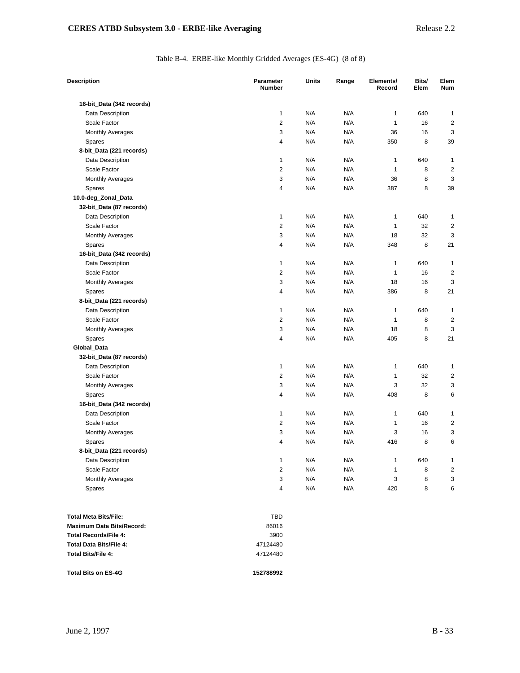## Table B-4. ERBE-like Monthly Gridded Averages (ES-4G) (8 of 8)

| <b>Description</b>        | <b>Parameter</b><br><b>Number</b> | <b>Units</b> | Range | Elements/<br>Record | Bits/<br>Elem | Elem<br>Num             |
|---------------------------|-----------------------------------|--------------|-------|---------------------|---------------|-------------------------|
| 16-bit_Data (342 records) |                                   |              |       |                     |               |                         |
| Data Description          | 1                                 | N/A          | N/A   | $\mathbf{1}$        | 640           | 1                       |
| Scale Factor              | 2                                 | N/A          | N/A   | $\mathbf{1}$        | 16            | 2                       |
| <b>Monthly Averages</b>   | 3                                 | N/A          | N/A   | 36                  | 16            | 3                       |
| Spares                    | 4                                 | N/A          | N/A   | 350                 | 8             | 39                      |
| 8-bit_Data (221 records)  |                                   |              |       |                     |               |                         |
| Data Description          | 1                                 | N/A          | N/A   | 1                   | 640           | 1                       |
| Scale Factor              | $\overline{2}$                    | N/A          | N/A   | 1                   | 8             | 2                       |
| <b>Monthly Averages</b>   | 3                                 | N/A          | N/A   | 36                  | 8             | 3                       |
| Spares                    | 4                                 | N/A          | N/A   | 387                 | 8             | 39                      |
| 10.0-deg_Zonal_Data       |                                   |              |       |                     |               |                         |
| 32-bit_Data (87 records)  |                                   |              |       |                     |               |                         |
| Data Description          | 1                                 | N/A          | N/A   | 1                   | 640           | 1                       |
| Scale Factor              | $\overline{2}$                    | N/A          | N/A   | $\mathbf{1}$        | 32            | $\overline{2}$          |
| <b>Monthly Averages</b>   | 3                                 | N/A          | N/A   | 18                  | 32            | 3                       |
| Spares                    | 4                                 | N/A          | N/A   | 348                 | 8             | 21                      |
| 16-bit_Data (342 records) |                                   |              |       |                     |               |                         |
| Data Description          | 1                                 | N/A          | N/A   | 1                   | 640           | 1                       |
| Scale Factor              | 2                                 | N/A          | N/A   | $\mathbf{1}$        | 16            | $\overline{\mathbf{c}}$ |
| <b>Monthly Averages</b>   | 3                                 | N/A          | N/A   | 18                  | 16            | 3                       |
| Spares                    | 4                                 | N/A          | N/A   | 386                 | 8             | 21                      |
| 8-bit_Data (221 records)  |                                   |              |       |                     |               |                         |
| Data Description          | $\mathbf{1}$                      | N/A          | N/A   | $\mathbf{1}$        | 640           | 1                       |
| Scale Factor              | 2                                 | N/A          | N/A   | 1                   | 8             | $\overline{\mathbf{c}}$ |
| <b>Monthly Averages</b>   | 3                                 | N/A          | N/A   | 18                  | 8             | 3                       |
| Spares                    | 4                                 | N/A          | N/A   | 405                 | 8             | 21                      |
| Global_Data               |                                   |              |       |                     |               |                         |
| 32-bit_Data (87 records)  |                                   |              |       |                     |               |                         |
| Data Description          | 1                                 | N/A          | N/A   | $\mathbf{1}$        | 640           | 1                       |
| Scale Factor              | 2                                 | N/A          | N/A   | $\mathbf{1}$        | 32            | 2                       |
| <b>Monthly Averages</b>   | 3                                 | N/A          | N/A   | 3                   | 32            | 3                       |
| Spares                    | 4                                 | N/A          | N/A   | 408                 | 8             | 6                       |
| 16-bit_Data (342 records) |                                   |              |       |                     |               |                         |
| Data Description          | $\mathbf{1}$                      | N/A          | N/A   | 1                   | 640           | 1                       |
| Scale Factor              | 2                                 | N/A          | N/A   | 1                   | 16            | 2                       |
| <b>Monthly Averages</b>   | 3                                 | N/A          | N/A   | 3                   | 16            | 3                       |
| Spares                    | 4                                 | N/A          | N/A   | 416                 | 8             | 6                       |
| 8-bit_Data (221 records)  |                                   |              |       |                     |               |                         |
| Data Description          | 1                                 | N/A          | N/A   | 1                   | 640           | $\mathbf{1}$            |
| Scale Factor              | $\overline{\mathbf{c}}$           | N/A          | N/A   | $\mathbf{1}$        | 8             | 2                       |
| Monthly Averages          | 3                                 | N/A          | N/A   | 3                   | 8             | 3                       |
| Spares                    | 4                                 | N/A          | N/A   | 420                 | 8             | 6                       |
|                           |                                   |              |       |                     |               |                         |
| Total Meta Bits/File:     | <b>TBD</b>                        |              |       |                     |               |                         |
| Maximum Data Bits/Record: | 86016                             |              |       |                     |               |                         |
| Total Records/File 4:     | 3900                              |              |       |                     |               |                         |
| Total Data Bits/File 4:   | 47124480                          |              |       |                     |               |                         |
| Total Bits/File 4:        | 47124480                          |              |       |                     |               |                         |

**Total Bits on ES-4G 152788992**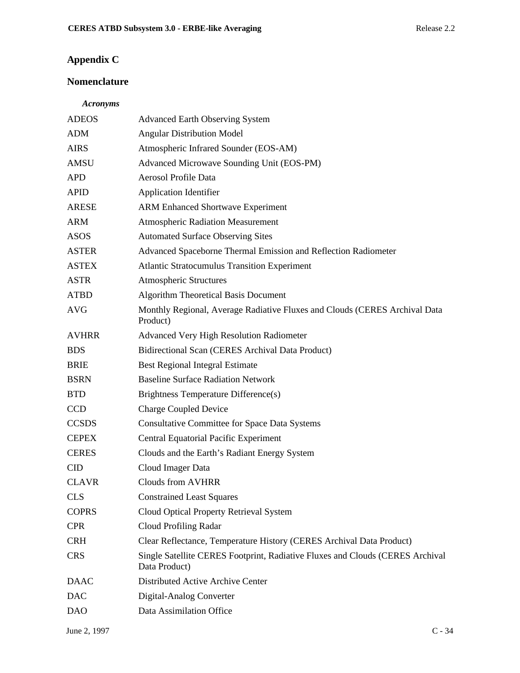# **Appendix C**

# **Nomenclature**

# *Acronyms*

| <b>ADEOS</b> | <b>Advanced Earth Observing System</b>                                                         |
|--------------|------------------------------------------------------------------------------------------------|
| <b>ADM</b>   | <b>Angular Distribution Model</b>                                                              |
| <b>AIRS</b>  | Atmospheric Infrared Sounder (EOS-AM)                                                          |
| <b>AMSU</b>  | Advanced Microwave Sounding Unit (EOS-PM)                                                      |
| <b>APD</b>   | Aerosol Profile Data                                                                           |
| <b>APID</b>  | <b>Application Identifier</b>                                                                  |
| <b>ARESE</b> | <b>ARM Enhanced Shortwave Experiment</b>                                                       |
| <b>ARM</b>   | <b>Atmospheric Radiation Measurement</b>                                                       |
| <b>ASOS</b>  | <b>Automated Surface Observing Sites</b>                                                       |
| <b>ASTER</b> | Advanced Spaceborne Thermal Emission and Reflection Radiometer                                 |
| <b>ASTEX</b> | <b>Atlantic Stratocumulus Transition Experiment</b>                                            |
| <b>ASTR</b>  | <b>Atmospheric Structures</b>                                                                  |
| <b>ATBD</b>  | <b>Algorithm Theoretical Basis Document</b>                                                    |
| <b>AVG</b>   | Monthly Regional, Average Radiative Fluxes and Clouds (CERES Archival Data<br>Product)         |
| <b>AVHRR</b> | Advanced Very High Resolution Radiometer                                                       |
| <b>BDS</b>   | Bidirectional Scan (CERES Archival Data Product)                                               |
| <b>BRIE</b>  | <b>Best Regional Integral Estimate</b>                                                         |
| <b>BSRN</b>  | <b>Baseline Surface Radiation Network</b>                                                      |
| <b>BTD</b>   | <b>Brightness Temperature Difference(s)</b>                                                    |
| <b>CCD</b>   | <b>Charge Coupled Device</b>                                                                   |
| <b>CCSDS</b> | <b>Consultative Committee for Space Data Systems</b>                                           |
| <b>CEPEX</b> | <b>Central Equatorial Pacific Experiment</b>                                                   |
| <b>CERES</b> | Clouds and the Earth's Radiant Energy System                                                   |
| <b>CID</b>   | Cloud Imager Data                                                                              |
| <b>CLAVR</b> | <b>Clouds from AVHRR</b>                                                                       |
| <b>CLS</b>   | <b>Constrained Least Squares</b>                                                               |
| <b>COPRS</b> | Cloud Optical Property Retrieval System                                                        |
| <b>CPR</b>   | Cloud Profiling Radar                                                                          |
| <b>CRH</b>   | Clear Reflectance, Temperature History (CERES Archival Data Product)                           |
| <b>CRS</b>   | Single Satellite CERES Footprint, Radiative Fluxes and Clouds (CERES Archival<br>Data Product) |
| <b>DAAC</b>  | Distributed Active Archive Center                                                              |
| <b>DAC</b>   | Digital-Analog Converter                                                                       |
| <b>DAO</b>   | Data Assimilation Office                                                                       |
|              |                                                                                                |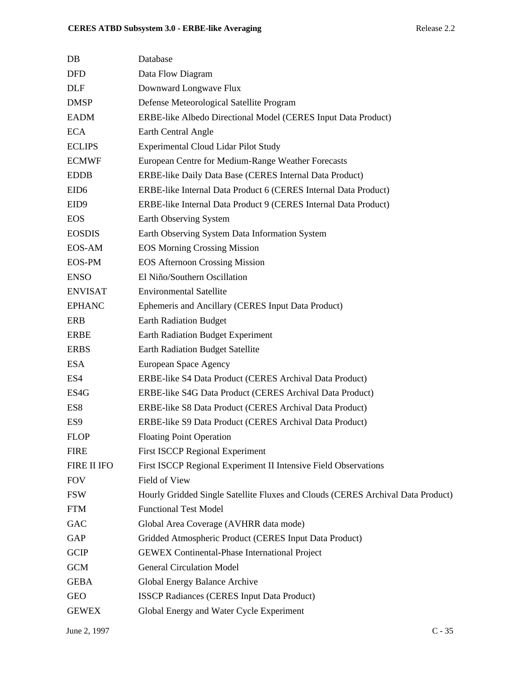| $DB$               | Database                                                                        |
|--------------------|---------------------------------------------------------------------------------|
| <b>DFD</b>         | Data Flow Diagram                                                               |
| <b>DLF</b>         | Downward Longwave Flux                                                          |
| <b>DMSP</b>        | Defense Meteorological Satellite Program                                        |
| <b>EADM</b>        | ERBE-like Albedo Directional Model (CERES Input Data Product)                   |
| <b>ECA</b>         | Earth Central Angle                                                             |
| <b>ECLIPS</b>      | <b>Experimental Cloud Lidar Pilot Study</b>                                     |
| <b>ECMWF</b>       | European Centre for Medium-Range Weather Forecasts                              |
| <b>EDDB</b>        | ERBE-like Daily Data Base (CERES Internal Data Product)                         |
| EID <sub>6</sub>   | ERBE-like Internal Data Product 6 (CERES Internal Data Product)                 |
| EID <sub>9</sub>   | ERBE-like Internal Data Product 9 (CERES Internal Data Product)                 |
| <b>EOS</b>         | Earth Observing System                                                          |
| <b>EOSDIS</b>      | Earth Observing System Data Information System                                  |
| EOS-AM             | <b>EOS Morning Crossing Mission</b>                                             |
| EOS-PM             | <b>EOS Afternoon Crossing Mission</b>                                           |
| <b>ENSO</b>        | El Niño/Southern Oscillation                                                    |
| <b>ENVISAT</b>     | <b>Environmental Satellite</b>                                                  |
| <b>EPHANC</b>      | Ephemeris and Ancillary (CERES Input Data Product)                              |
| ERB                | <b>Earth Radiation Budget</b>                                                   |
| <b>ERBE</b>        | <b>Earth Radiation Budget Experiment</b>                                        |
| <b>ERBS</b>        | <b>Earth Radiation Budget Satellite</b>                                         |
| <b>ESA</b>         | European Space Agency                                                           |
| ES4                | ERBE-like S4 Data Product (CERES Archival Data Product)                         |
| ES4G               | ERBE-like S4G Data Product (CERES Archival Data Product)                        |
| ES8                | ERBE-like S8 Data Product (CERES Archival Data Product)                         |
| ES <sub>9</sub>    | ERBE-like S9 Data Product (CERES Archival Data Product)                         |
| <b>FLOP</b>        | <b>Floating Point Operation</b>                                                 |
| <b>FIRE</b>        | <b>First ISCCP Regional Experiment</b>                                          |
| <b>FIRE II IFO</b> | First ISCCP Regional Experiment II Intensive Field Observations                 |
| <b>FOV</b>         | Field of View                                                                   |
| <b>FSW</b>         | Hourly Gridded Single Satellite Fluxes and Clouds (CERES Archival Data Product) |
| <b>FTM</b>         | <b>Functional Test Model</b>                                                    |
| GAC                | Global Area Coverage (AVHRR data mode)                                          |
| GAP                | Gridded Atmospheric Product (CERES Input Data Product)                          |
| <b>GCIP</b>        | <b>GEWEX Continental-Phase International Project</b>                            |
| <b>GCM</b>         | <b>General Circulation Model</b>                                                |
| <b>GEBA</b>        | Global Energy Balance Archive                                                   |
| <b>GEO</b>         | <b>ISSCP Radiances (CERES Input Data Product)</b>                               |
| <b>GEWEX</b>       | Global Energy and Water Cycle Experiment                                        |
|                    |                                                                                 |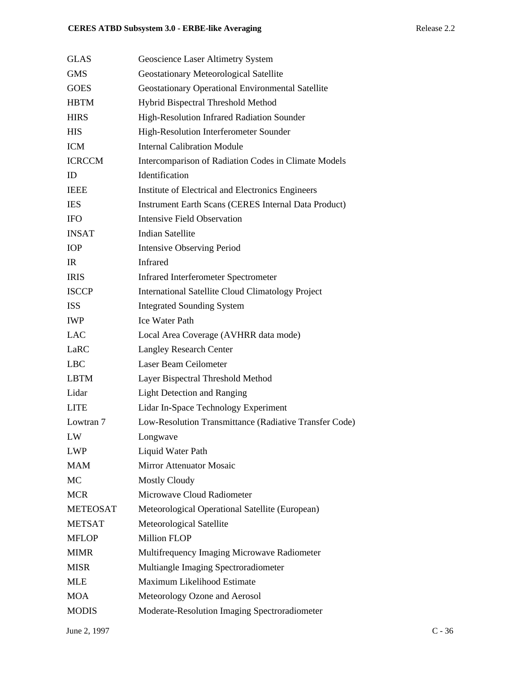| <b>GLAS</b>     | Geoscience Laser Altimetry System                           |
|-----------------|-------------------------------------------------------------|
| <b>GMS</b>      | Geostationary Meteorological Satellite                      |
| <b>GOES</b>     | <b>Geostationary Operational Environmental Satellite</b>    |
| <b>HBTM</b>     | Hybrid Bispectral Threshold Method                          |
| <b>HIRS</b>     | High-Resolution Infrared Radiation Sounder                  |
| <b>HIS</b>      | High-Resolution Interferometer Sounder                      |
| <b>ICM</b>      | <b>Internal Calibration Module</b>                          |
| <b>ICRCCM</b>   | Intercomparison of Radiation Codes in Climate Models        |
| ID              | Identification                                              |
| <b>IEEE</b>     | Institute of Electrical and Electronics Engineers           |
| <b>IES</b>      | <b>Instrument Earth Scans (CERES Internal Data Product)</b> |
| <b>IFO</b>      | <b>Intensive Field Observation</b>                          |
| <b>INSAT</b>    | <b>Indian Satellite</b>                                     |
| <b>IOP</b>      | <b>Intensive Observing Period</b>                           |
| IR              | Infrared                                                    |
| <b>IRIS</b>     | <b>Infrared Interferometer Spectrometer</b>                 |
| <b>ISCCP</b>    | <b>International Satellite Cloud Climatology Project</b>    |
| <b>ISS</b>      | <b>Integrated Sounding System</b>                           |
| <b>IWP</b>      | <b>Ice Water Path</b>                                       |
| <b>LAC</b>      | Local Area Coverage (AVHRR data mode)                       |
| LaRC            | <b>Langley Research Center</b>                              |
| <b>LBC</b>      | Laser Beam Ceilometer                                       |
| <b>LBTM</b>     | Layer Bispectral Threshold Method                           |
| Lidar           | <b>Light Detection and Ranging</b>                          |
| <b>LITE</b>     | Lidar In-Space Technology Experiment                        |
| Lowtran 7       | Low-Resolution Transmittance (Radiative Transfer Code)      |
| LW              | Longwave                                                    |
| <b>LWP</b>      | Liquid Water Path                                           |
| <b>MAM</b>      | <b>Mirror Attenuator Mosaic</b>                             |
| MC              | <b>Mostly Cloudy</b>                                        |
| <b>MCR</b>      | Microwave Cloud Radiometer                                  |
| <b>METEOSAT</b> | Meteorological Operational Satellite (European)             |
| <b>METSAT</b>   | Meteorological Satellite                                    |
| <b>MFLOP</b>    | <b>Million FLOP</b>                                         |
| <b>MIMR</b>     | Multifrequency Imaging Microwave Radiometer                 |
| <b>MISR</b>     | Multiangle Imaging Spectroradiometer                        |
| <b>MLE</b>      | Maximum Likelihood Estimate                                 |
| <b>MOA</b>      | Meteorology Ozone and Aerosol                               |
| <b>MODIS</b>    | Moderate-Resolution Imaging Spectroradiometer               |
|                 |                                                             |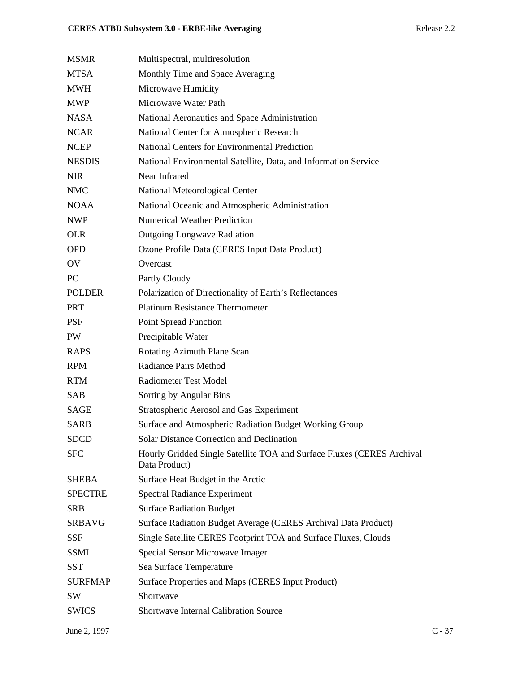| MSMR                   | Multispectral, multiresolution                                                          |
|------------------------|-----------------------------------------------------------------------------------------|
| MTSA                   | Monthly Time and Space Averaging                                                        |
| MWH                    | Microwave Humidity                                                                      |
| MWP                    | Microwave Water Path                                                                    |
| NASA                   | National Aeronautics and Space Administration                                           |
| <b>NCAR</b>            | National Center for Atmospheric Research                                                |
| NCEP                   | <b>National Centers for Environmental Prediction</b>                                    |
| <b>NESDIS</b>          | National Environmental Satellite, Data, and Information Service                         |
| NIR                    | Near Infrared                                                                           |
| NMC                    | National Meteorological Center                                                          |
| NOAA                   | National Oceanic and Atmospheric Administration                                         |
| NWP                    | <b>Numerical Weather Prediction</b>                                                     |
| <b>OLR</b>             | <b>Outgoing Longwave Radiation</b>                                                      |
| OPD                    | Ozone Profile Data (CERES Input Data Product)                                           |
| $\overline{\text{OV}}$ | Overcast                                                                                |
| PС                     | Partly Cloudy                                                                           |
| <b>POLDER</b>          | Polarization of Directionality of Earth's Reflectances                                  |
| PRT                    | <b>Platinum Resistance Thermometer</b>                                                  |
| PSF                    | Point Spread Function                                                                   |
| PW                     | Precipitable Water                                                                      |
| RAPS                   | Rotating Azimuth Plane Scan                                                             |
| RPM                    | <b>Radiance Pairs Method</b>                                                            |
| RTM                    | <b>Radiometer Test Model</b>                                                            |
| SAB                    | Sorting by Angular Bins                                                                 |
| SAGE                   | Stratospheric Aerosol and Gas Experiment                                                |
| SARB                   | Surface and Atmospheric Radiation Budget Working Group                                  |
| SDCD                   | Solar Distance Correction and Declination                                               |
| <b>SFC</b>             | Hourly Gridded Single Satellite TOA and Surface Fluxes (CERES Archival<br>Data Product) |
| SHEBA                  | Surface Heat Budget in the Arctic                                                       |
| <b>SPECTRE</b>         | <b>Spectral Radiance Experiment</b>                                                     |
| SRB                    | <b>Surface Radiation Budget</b>                                                         |
| SRBAVG                 | Surface Radiation Budget Average (CERES Archival Data Product)                          |
| SSF                    | Single Satellite CERES Footprint TOA and Surface Fluxes, Clouds                         |
| SSMI                   | Special Sensor Microwave Imager                                                         |
| SST                    | Sea Surface Temperature                                                                 |
| <b>SURFMAP</b>         | Surface Properties and Maps (CERES Input Product)                                       |
| SW                     | Shortwave                                                                               |
| <b>SWICS</b>           | <b>Shortwave Internal Calibration Source</b>                                            |
|                        |                                                                                         |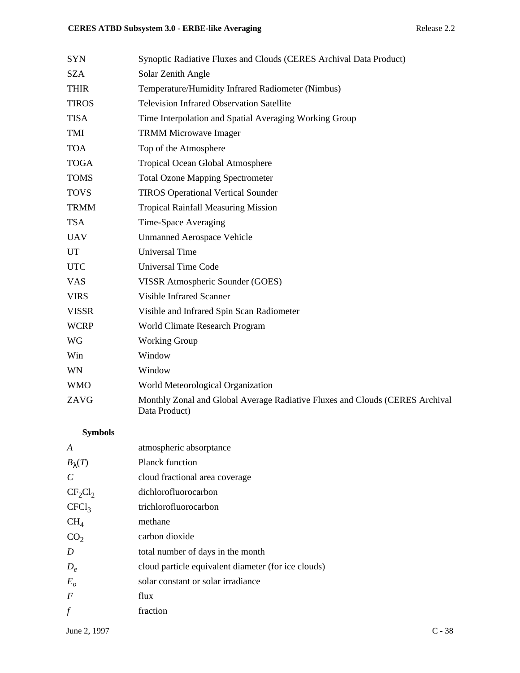| <b>SYN</b>   | Synoptic Radiative Fluxes and Clouds (CERES Archival Data Product)                            |
|--------------|-----------------------------------------------------------------------------------------------|
| <b>SZA</b>   | Solar Zenith Angle                                                                            |
| <b>THIR</b>  | Temperature/Humidity Infrared Radiometer (Nimbus)                                             |
| <b>TIROS</b> | <b>Television Infrared Observation Satellite</b>                                              |
| <b>TISA</b>  | Time Interpolation and Spatial Averaging Working Group                                        |
| TMI          | <b>TRMM Microwave Imager</b>                                                                  |
| <b>TOA</b>   | Top of the Atmosphere                                                                         |
| <b>TOGA</b>  | Tropical Ocean Global Atmosphere                                                              |
| <b>TOMS</b>  | <b>Total Ozone Mapping Spectrometer</b>                                                       |
| <b>TOVS</b>  | <b>TIROS Operational Vertical Sounder</b>                                                     |
| <b>TRMM</b>  | <b>Tropical Rainfall Measuring Mission</b>                                                    |
| <b>TSA</b>   | Time-Space Averaging                                                                          |
| <b>UAV</b>   | <b>Unmanned Aerospace Vehicle</b>                                                             |
| UT           | <b>Universal Time</b>                                                                         |
| <b>UTC</b>   | <b>Universal Time Code</b>                                                                    |
| <b>VAS</b>   | VISSR Atmospheric Sounder (GOES)                                                              |
| <b>VIRS</b>  | <b>Visible Infrared Scanner</b>                                                               |
| <b>VISSR</b> | Visible and Infrared Spin Scan Radiometer                                                     |
| <b>WCRP</b>  | World Climate Research Program                                                                |
| WG           | <b>Working Group</b>                                                                          |
| Win          | Window                                                                                        |
| WN           | Window                                                                                        |
| <b>WMO</b>   | World Meteorological Organization                                                             |
| ZAVG         | Monthly Zonal and Global Average Radiative Fluxes and Clouds (CERES Archival<br>Data Product) |

# **Symbols**

| atmospheric absorptance                             |
|-----------------------------------------------------|
| <b>Planck function</b>                              |
| cloud fractional area coverage                      |
| dichlorofluorocarbon                                |
| trichlorofluorocarbon                               |
| methane                                             |
| carbon dioxide                                      |
| total number of days in the month                   |
| cloud particle equivalent diameter (for ice clouds) |
| solar constant or solar irradiance                  |
| flux                                                |
| fraction                                            |
|                                                     |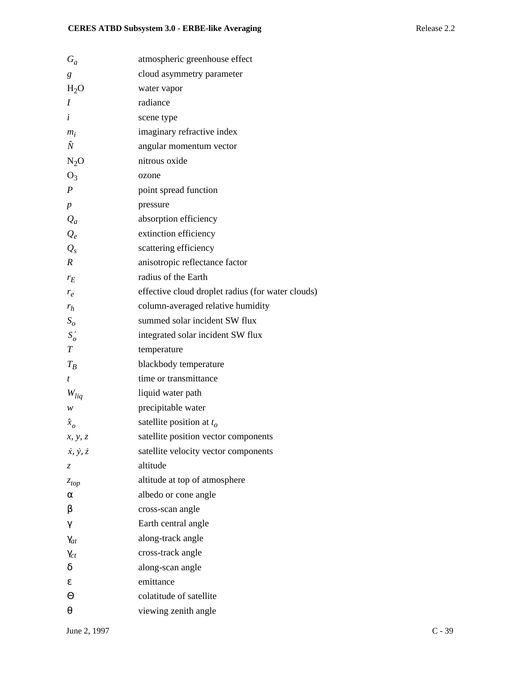| $G_a$                       | atmospheric greenhouse effect                     |
|-----------------------------|---------------------------------------------------|
| g                           | cloud asymmetry parameter                         |
| $H_2O$                      | water vapor                                       |
| I                           | radiance                                          |
| i                           | scene type                                        |
| $m_i$                       | imaginary refractive index                        |
| Ñ                           | angular momentum vector                           |
| $N_2O$                      | nitrous oxide                                     |
| $O_3$                       | ozone                                             |
| $\boldsymbol{P}$            | point spread function                             |
| $\boldsymbol{p}$            | pressure                                          |
| $Q_a$                       | absorption efficiency                             |
| $Q_e$                       | extinction efficiency                             |
| $Q_{s}$                     | scattering efficiency                             |
| R                           | anisotropic reflectance factor                    |
| $r_E$                       | radius of the Earth                               |
| $r_e$                       | effective cloud droplet radius (for water clouds) |
| $r_h$                       | column-averaged relative humidity                 |
| $S_{\rm o}$                 | summed solar incident SW flux                     |
| $S'_{o}$                    | integrated solar incident SW flux                 |
| $\cal T$                    | temperature                                       |
| $T_B$                       | blackbody temperature                             |
| t                           | time or transmittance                             |
| $W_{liq}$                   | liquid water path                                 |
| w                           | precipitable water                                |
| $\hat{\boldsymbol{x}}_o$    | satellite position at $t_o$                       |
| x, y, z                     | satellite position vector components              |
| $\dot{x}, \dot{y}, \dot{z}$ | satellite velocity vector components              |
| Z,                          | altitude                                          |
| $z_{top}$                   | altitude at top of atmosphere                     |
| α                           | albedo or cone angle                              |
| β                           | cross-scan angle                                  |
| γ                           | Earth central angle                               |
| $\gamma_{at}$               | along-track angle                                 |
| $\gamma_{ct}$               | cross-track angle                                 |
| δ                           | along-scan angle                                  |
| ε                           | emittance                                         |
| Θ                           | colatitude of satellite                           |
| θ                           | viewing zenith angle                              |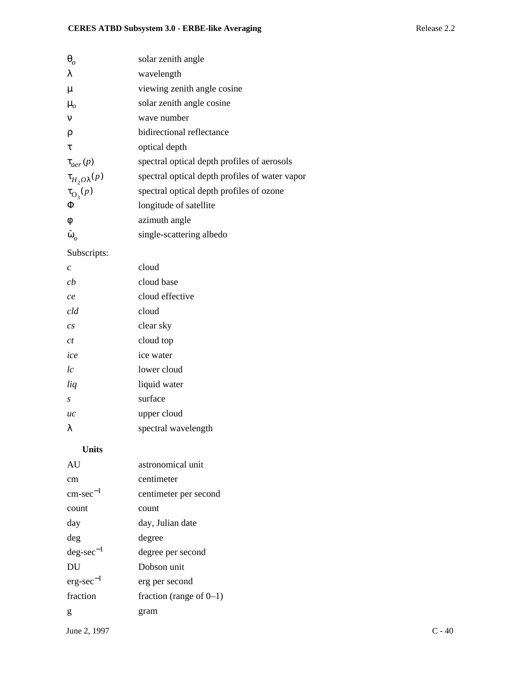| $\theta$                 | solar zenith angle                             |
|--------------------------|------------------------------------------------|
| λ                        | wavelength                                     |
| $\mu$                    | viewing zenith angle cosine                    |
| $\mu_{o}$                | solar zenith angle cosine                      |
| $\mathbf{v}$             | wave number                                    |
| ρ                        | bidirectional reflectance                      |
| τ                        | optical depth                                  |
| $\tau_{aer}(p)$          | spectral optical depth profiles of aerosols    |
| $\tau_{H_2O\lambda}(p)$  | spectral optical depth profiles of water vapor |
| $\tau_{\mathrm{O}_3}(p)$ | spectral optical depth profiles of ozone       |
| Φ                        | longitude of satellite                         |
| φ                        | azimuth angle                                  |
| $\tilde{\omega}_o$       | single-scattering albedo                       |

Subscripts:

| cloud               |
|---------------------|
| cloud base          |
| cloud effective     |
| cloud               |
| clear sky           |
| cloud top           |
| ice water           |
| lower cloud         |
| liquid water        |
| surface             |
| upper cloud         |
| spectral wavelength |
|                     |

## **Units**

| AU                    | astronomical unit          |
|-----------------------|----------------------------|
| cm                    | centimeter                 |
| $\text{cm-sec}^{-1}$  | centimeter per second      |
| count                 | count                      |
| day                   | day, Julian date           |
| deg                   | degree                     |
| $\text{deg-sec}^{-1}$ | degree per second          |
| DU                    | Dobson unit                |
| $erg\text{-}sec^{-1}$ | erg per second             |
| fraction              | fraction (range of $0-1$ ) |
| g                     | gram                       |
|                       |                            |